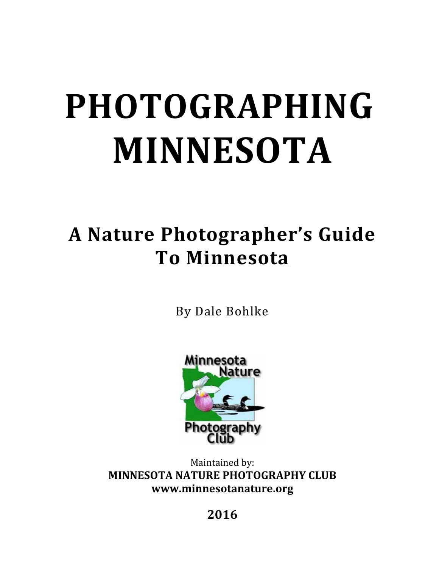# **PHOTOGRAPHING MINNESOTA**

# **A Nature Photographer's Guide To Minnesota**

By Dale Bohlke



Maintained by: **MINNESOTA NATURE PHOTOGRAPHY CLUB www.minnesotanature.org**

**2016**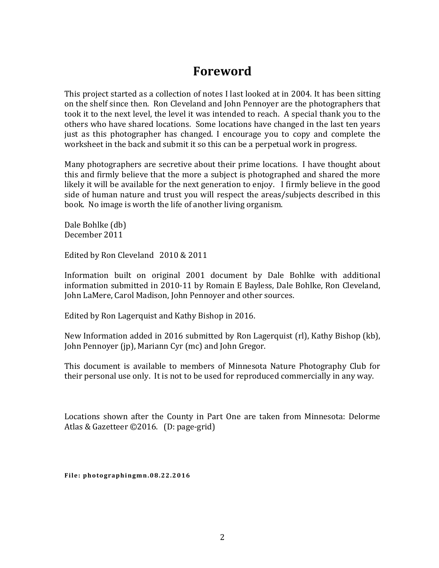# **Foreword**

This project started as a collection of notes I last looked at in 2004. It has been sitting on the shelf since then. Ron Cleveland and John Pennoyer are the photographers that took it to the next level, the level it was intended to reach. A special thank you to the others who have shared locations. Some locations have changed in the last ten years just as this photographer has changed. I encourage you to copy and complete the worksheet in the back and submit it so this can be a perpetual work in progress.

Many photographers are secretive about their prime locations. I have thought about this and firmly believe that the more a subject is photographed and shared the more likely it will be available for the next generation to enjoy. I firmly believe in the good side of human nature and trust you will respect the areas/subjects described in this book. No image is worth the life of another living organism.

Dale Bohlke (db) December 2011

Edited by Ron Cleveland 2010 & 2011

Information built on original 2001 document by Dale Bohlke with additional information submitted in 2010-11 by Romain E Bayless, Dale Bohlke, Ron Cleveland, John LaMere, Carol Madison, John Pennoyer and other sources.

Edited by Ron Lagerquist and Kathy Bishop in 2016.

New Information added in 2016 submitted by Ron Lagerquist (rl), Kathy Bishop (kb), John Pennoyer (jp), Mariann Cyr (mc) and John Gregor.

This document is available to members of Minnesota Nature Photography Club for their personal use only. It is not to be used for reproduced commercially in any way.

Locations shown after the County in Part One are taken from Minnesota: Delorme Atlas & Gazetteer ©2016. (D: page-grid)

**File: photographingmn.08.2 2.2016**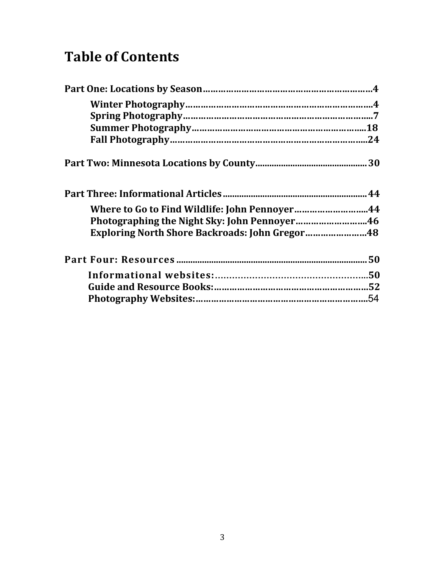# **Table of Contents**

| Where to Go to Find Wildlife: John Pennoyer44         |  |
|-------------------------------------------------------|--|
| Photographing the Night Sky: John Pennoyer46          |  |
| <b>Exploring North Shore Backroads: John Gregor48</b> |  |
|                                                       |  |
|                                                       |  |
|                                                       |  |
|                                                       |  |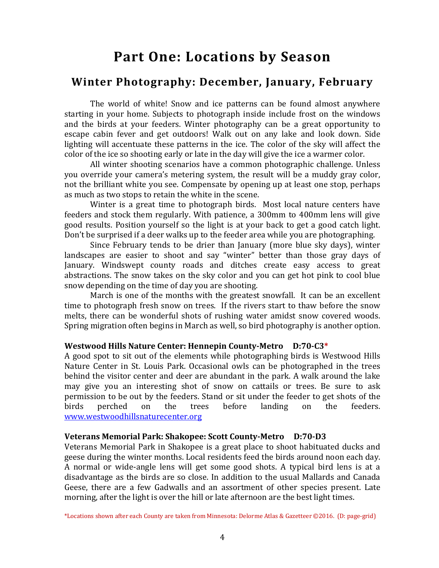# **Part One: Locations by Season**

# **Winter Photography: December, January, February**

The world of white! Snow and ice patterns can be found almost anywhere starting in your home. Subjects to photograph inside include frost on the windows and the birds at your feeders. Winter photography can be a great opportunity to escape cabin fever and get outdoors! Walk out on any lake and look down. Side lighting will accentuate these patterns in the ice. The color of the sky will affect the color of the ice so shooting early or late in the day will give the ice a warmer color.

All winter shooting scenarios have a common photographic challenge. Unless you override your camera's metering system, the result will be a muddy gray color, not the brilliant white you see. Compensate by opening up at least one stop, perhaps as much as two stops to retain the white in the scene.

Winter is a great time to photograph birds. Most local nature centers have feeders and stock them regularly. With patience, a 300mm to 400mm lens will give good results. Position yourself so the light is at your back to get a good catch light. Don't be surprised if a deer walks up to the feeder area while you are photographing.

Since February tends to be drier than January (more blue sky days), winter landscapes are easier to shoot and say "winter" better than those gray days of January. Windswept county roads and ditches create easy access to great abstractions. The snow takes on the sky color and you can get hot pink to cool blue snow depending on the time of day you are shooting.

March is one of the months with the greatest snowfall. It can be an excellent time to photograph fresh snow on trees. If the rivers start to thaw before the snow melts, there can be wonderful shots of rushing water amidst snow covered woods. Spring migration often begins in March as well, so bird photography is another option.

### **Westwood Hills Nature Center: Hennepin County-Metro D:70-C3\***

A good spot to sit out of the elements while photographing birds is Westwood Hills Nature Center in St. Louis Park. Occasional owls can be photographed in the trees behind the visitor center and deer are abundant in the park. A walk around the lake may give you an interesting shot of snow on cattails or trees. Be sure to ask permission to be out by the feeders. Stand or sit under the feeder to get shots of the birds perched on the trees before landing on the feeders. [www.westwoodhillsnaturecenter.org](http://www.westwoodhillsnaturecenter.org/)

### **Veterans Memorial Park: Shakopee: Scott County-Metro D:70-D3**

Veterans Memorial Park in Shakopee is a great place to shoot habituated ducks and geese during the winter months. Local residents feed the birds around noon each day. A normal or wide-angle lens will get some good shots. A typical bird lens is at a disadvantage as the birds are so close. In addition to the usual Mallards and Canada Geese, there are a few Gadwalls and an assortment of other species present. Late morning, after the light is over the hill or late afternoon are the best light times.

\*Locations shown after each County are taken from Minnesota: Delorme Atlas & Gazetteer ©2016. (D: page-grid)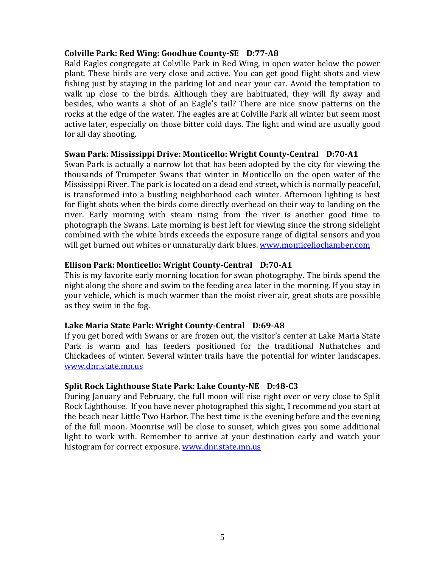### **Colville Park: Red Wing: Goodhue County-SE D:77-A8**

Bald Eagles congregate at Colville Park in Red Wing, in open water below the power plant. These birds are very close and active. You can get good flight shots and view fishing just by staying in the parking lot and near your car. Avoid the temptation to walk up close to the birds. Although they are habituated, they will fly away and besides, who wants a shot of an Eagle's tail? There are nice snow patterns on the rocks at the edge of the water. The eagles are at Colville Park all winter but seem most active later, especially on those bitter cold days. The light and wind are usually good for all day shooting.

### **Swan Park: Mississippi Drive: Monticello: Wright County-Central D:70-A1**

Swan Park is actually a narrow lot that has been adopted by the city for viewing the thousands of Trumpeter Swans that winter in Monticello on the open water of the Mississippi River. The park is located on a dead end street, which is normally peaceful, is transformed into a bustling neighborhood each winter. Afternoon lighting is best for flight shots when the birds come directly overhead on their way to landing on the river. Early morning with steam rising from the river is another good time to photograph the Swans. Late morning is best left for viewing since the strong sidelight combined with the white birds exceeds the exposure range of digital sensors and you will get burned out whites or unnaturally dark blues. [www.monticellochamber.com](http://www.monticellochamber.com/)

### **Ellison Park: Monticello: Wright County-Central D:70-A1**

This is my favorite early morning location for swan photography. The birds spend the night along the shore and swim to the feeding area later in the morning. If you stay in your vehicle, which is much warmer than the moist river air, great shots are possible as they swim in the fog.

### **Lake Maria State Park: Wright County-Central D:69-A8**

If you get bored with Swans or are frozen out, the visitor's center at Lake Maria State Park is warm and has feeders positioned for the traditional Nuthatches and Chickadees of winter. Several winter trails have the potential for winter landscapes. [www.dnr.state.mn.us](http://www.dnr.state.mn.us/)

### **Split Rock Lighthouse State Park**: **Lake County-NE D:48-C3**

During January and February, the full moon will rise right over or very close to Split Rock Lighthouse. If you have never photographed this sight, I recommend you start at the beach near Little Two Harbor. The best time is the evening before and the evening of the full moon. Moonrise will be close to sunset, which gives you some additional light to work with. Remember to arrive at your destination early and watch your histogram for correct exposure. [www.dnr.state.mn.us](http://www.dnr.state.mn.us/)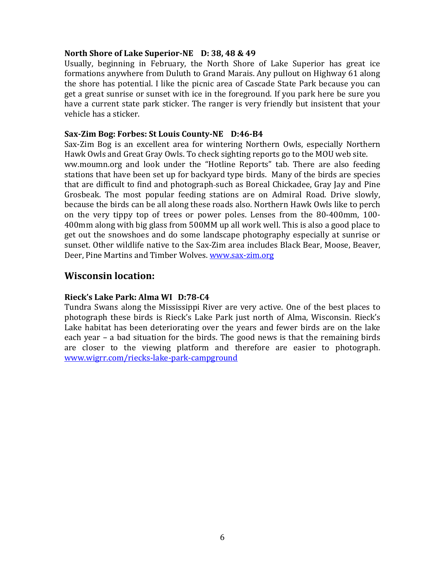### **North Shore of Lake Superior-NE D: 38, 48 & 49**

Usually, beginning in February, the North Shore of Lake Superior has great ice formations anywhere from Duluth to Grand Marais. Any pullout on Highway 61 along the shore has potential. I like the picnic area of Cascade State Park because you can get a great sunrise or sunset with ice in the foreground. If you park here be sure you have a current state park sticker. The ranger is very friendly but insistent that your vehicle has a sticker.

### **Sax-Zim Bog: Forbes: St Louis County-NE D:46-B4**

Sax-Zim Bog is an excellent area for wintering Northern Owls, especially Northern Hawk Owls and Great Gray Owls. To check sighting reports go to the MOU web site. [ww.moumn.org](http://www.moumn.org/) and look under the "Hotline Reports" tab. There are also feeding stations that have been set up for backyard type birds. Many of the birds are species that are difficult to find and photograph such as Boreal Chickadee, Gray Jay and Pine Grosbeak. The most popular feeding stations are on Admiral Road. Drive slowly, because the birds can be all along these roads also. Northern Hawk Owls like to perch on the very tippy top of trees or power poles. Lenses from the 80-400mm, 100- 400mm along with big glass from 500MM up all work well. This is also a good place to get out the snowshoes and do some landscape photography especially at sunrise or sunset. Other wildlife native to the Sax-Zim area includes Black Bear, Moose, Beaver, Deer, Pine Martins and Timber Wolves. [www.sax-zim.org](http://www.sax-zim.org/)

### **Wisconsin location:**

### **Rieck's Lake Park: Alma WI D:78-C4**

Tundra Swans along the Mississippi River are very active. One of the best places to photograph these birds is Rieck's Lake Park just north of Alma, Wisconsin. Rieck's Lake habitat has been deteriorating over the years and fewer birds are on the lake each year – a bad situation for the birds. The good news is that the remaining birds are closer to the viewing platform and therefore are easier to photograph. [www.wigrr.com/riecks-lake-park-campground](http://www.wigrr.com/riecks-lake-park-campground)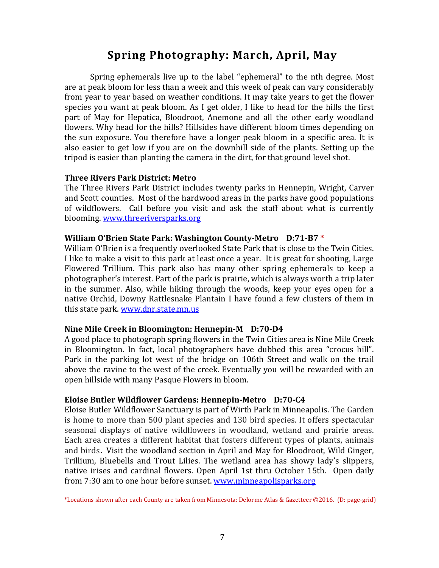# **Spring Photography: March, April, May**

Spring ephemerals live up to the label "ephemeral" to the nth degree. Most are at peak bloom for less than a week and this week of peak can vary considerably from year to year based on weather conditions. It may take years to get the flower species you want at peak bloom. As I get older, I like to head for the hills the first part of May for Hepatica, Bloodroot, Anemone and all the other early woodland flowers. Why head for the hills? Hillsides have different bloom times depending on the sun exposure. You therefore have a longer peak bloom in a specific area. It is also easier to get low if you are on the downhill side of the plants. Setting up the tripod is easier than planting the camera in the dirt, for that ground level shot.

### **Three Rivers Park District: Metro**

The Three Rivers Park District includes twenty parks in Hennepin, Wright, Carver and Scott counties. Most of the hardwood areas in the parks have good populations of wildflowers. Call before you visit and ask the staff about what is currently blooming. [www.threeriversparks.org](http://www.threeriversparks.org/)

### **William O'Brien State Park: Washington County-Metro D:71-B7 \***

William O'Brien is a frequently overlooked State Park that is close to the Twin Cities. I like to make a visit to this park at least once a year. It is great for shooting, Large Flowered Trillium. This park also has many other spring ephemerals to keep a photographer's interest. Part of the park is prairie, which is always worth a trip later in the summer. Also, while hiking through the woods, keep your eyes open for a native Orchid, Downy Rattlesnake Plantain I have found a few clusters of them in this state park. [www.dnr.state.mn.us](http://www.dnr.state.mn.us/)

### **Nine Mile Creek in Bloomington: Hennepin-M D:70-D4**

A good place to photograph spring flowers in the Twin Cities area is Nine Mile Creek in Bloomington. In fact, local photographers have dubbed this area "crocus hill". Park in the parking lot west of the bridge on 106th Street and walk on the trail above the ravine to the west of the creek. Eventually you will be rewarded with an open hillside with many Pasque Flowers in bloom.

### **Eloise Butler Wildflower Gardens: Hennepin-Metro D:70-C4**

Eloise Butler Wildflower Sanctuary is part of Wirth Park in Minneapolis. The Garden is home to more than 500 plant species and 130 bird species. It offers spectacular seasonal displays of native wildflowers in woodland, wetland and prairie areas. Each area creates a different habitat that fosters different types of plants, animals and birds. Visit the woodland section in April and May for Bloodroot, Wild Ginger, Trillium, Bluebells and Trout Lilies. The wetland area has showy lady's slippers, native irises and cardinal flowers. Open April 1st thru October 15th. Open daily from 7:30 am to one hour before sunset. [www.minneapolisparks.org](http://www.minneapolisparks.org/)

\*Locations shown after each County are taken from Minnesota: Delorme Atlas & Gazetteer ©2016. (D: page-grid)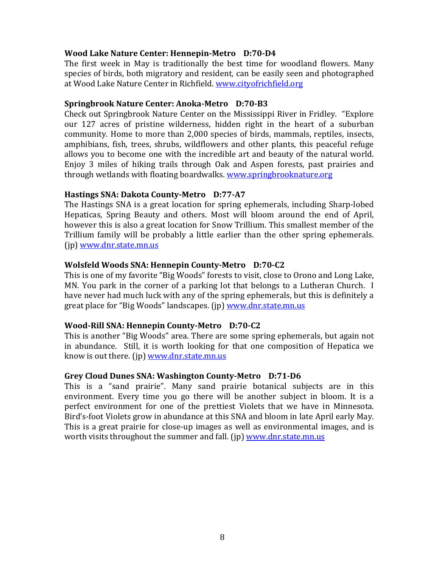### **Wood Lake Nature Center: Hennepin-Metro D:70-D4**

The first week in May is traditionally the best time for woodland flowers. Many species of birds, both migratory and resident, can be easily seen and photographed at Wood Lake Nature Center in Richfield. [www.cityofrichfield.org](http://www.cityofrichfield.org/)

### **Springbrook Nature Center: Anoka-Metro D:70-B3**

Check out Springbrook Nature Center on the Mississippi River in Fridley. "Explore our 127 acres of pristine wilderness, hidden right in the heart of a suburban community. Home to more than 2,000 species of birds, mammals, reptiles, insects, amphibians, fish, trees, shrubs, wildflowers and other plants, this peaceful refuge allows you to become one with the incredible art and beauty of the natural world. Enjoy 3 miles of hiking trails through Oak and Aspen forests, past prairies and through wetlands with floating boardwalks. [www.springbrooknature.org](http://www.springbrooknature.org/)

### **Hastings SNA: Dakota County-Metro D:77-A7**

The Hastings SNA is a great location for spring ephemerals, including Sharp-lobed Hepaticas, Spring Beauty and others. Most will bloom around the end of April, however this is also a great location for Snow Trillium. This smallest member of the Trillium family will be probably a little earlier than the other spring ephemerals. (jp) [www.dnr.state.mn.us](http://www.dnr.state.mn.us/)

### **Wolsfeld Woods SNA: Hennepin County-Metro D:70-C2**

This is one of my favorite "Big Woods" forests to visit, close to Orono and Long Lake, MN. You park in the corner of a parking lot that belongs to a Lutheran Church. I have never had much luck with any of the spring ephemerals, but this is definitely a great place for "Big Woods" landscapes. (jp) [www.dnr.state.mn.us](http://www.dnr.state.mn.us/)

### **Wood-Rill SNA: Hennepin County-Metro D:70-C2**

This is another "Big Woods" area. There are some spring ephemerals, but again not in abundance. Still, it is worth looking for that one composition of Hepatica we know is out there. (jp) [www.dnr.state.mn.us](http://www.dnr.state.mn.us/)

### **Grey Cloud Dunes SNA: Washington County-Metro D:71-D6**

This is a "sand prairie". Many sand prairie botanical subjects are in this environment. Every time you go there will be another subject in bloom. It is a perfect environment for one of the prettiest Violets that we have in Minnesota. Bird's-foot Violets grow in abundance at this SNA and bloom in late April early May. This is a great prairie for close-up images as well as environmental images, and is worth visits throughout the summer and fall. (ip[\) www.dnr.state.mn.us](http://www.dnr.state.mn.us/)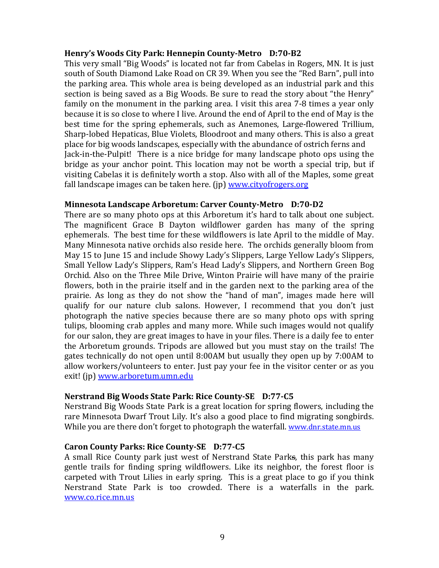### **Henry's Woods City Park: Hennepin County-Metro D:70-B2**

This very small "Big Woods" is located not far from Cabelas in Rogers, MN. It is just south of South Diamond Lake Road on CR 39. When you see the "Red Barn", pull into the parking area. This whole area is being developed as an industrial park and this section is being saved as a Big Woods. Be sure to read the story about "the Henry" family on the monument in the parking area. I visit this area 7-8 times a year only because it is so close to where I live. Around the end of April to the end of May is the best time for the spring ephemerals, such as Anemones, Large-flowered Trillium, Sharp-lobed Hepaticas, Blue Violets, Bloodroot and many others. This is also a great place for big woods landscapes, especially with the abundance of ostrich ferns and Jack-in-the-Pulpit! There is a nice bridge for many landscape photo ops using the bridge as your anchor point. This location may not be worth a special trip, but if visiting Cabelas it is definitely worth a stop. Also with all of the Maples, some great fall landscape images can be taken here. (jp) [www.cityofrogers.org](http://www.cityofrogers.org/)

### **Minnesota Landscape Arboretum: Carver County-Metro D:70-D2**

There are so many photo ops at this Arboretum it's hard to talk about one subject. The magnificent Grace B Dayton wildflower garden has many of the spring ephemerals. The best time for these wildflowers is late April to the middle of May. Many Minnesota native orchids also reside here. The orchids generally bloom from May 15 to June 15 and include Showy Lady's Slippers, Large Yellow Lady's Slippers, Small Yellow Lady's Slippers, Ram's Head Lady's Slippers, and Northern Green Bog Orchid. Also on the Three Mile Drive, Winton Prairie will have many of the prairie flowers, both in the prairie itself and in the garden next to the parking area of the prairie. As long as they do not show the "hand of man", images made here will qualify for our nature club salons. However, I recommend that you don't just photograph the native species because there are so many photo ops with spring tulips, blooming crab apples and many more. While such images would not qualify for our salon, they are great images to have in your files. There is a daily fee to enter the Arboretum grounds. Tripods are allowed but you must stay on the trails! The gates technically do not open until 8:00AM but usually they open up by 7:00AM to allow workers/volunteers to enter. Just pay your fee in the visitor center or as you exit! (jp) [www.arboretum.umn.edu](http://www.arboretum.umn.edu/)

### **Nerstrand Big Woods State Park: Rice County-SE D:77-C5**

Nerstrand Big Woods State Park is a great location for spring flowers, including the rare Minnesota Dwarf Trout Lily. It's also a good place to find migrating songbirds. While you are there don't forget to photograph the waterfall. [www.dnr.state.mn.us](http://www.dnr.state.mn.us/)

### **Caron County Parks: Rice County-SE D:77-C5**

A small Rice County park just west of Nerstrand State Parks, this park has many gentle trails for finding spring wildflowers. Like its neighbor, the forest floor is carpeted with Trout Lilies in early spring. This is a great place to go if you think Nerstrand State Park is too crowded. There is a waterfalls in the park. [www.co.rice.mn.us](http://www.co.rice.mn.us/)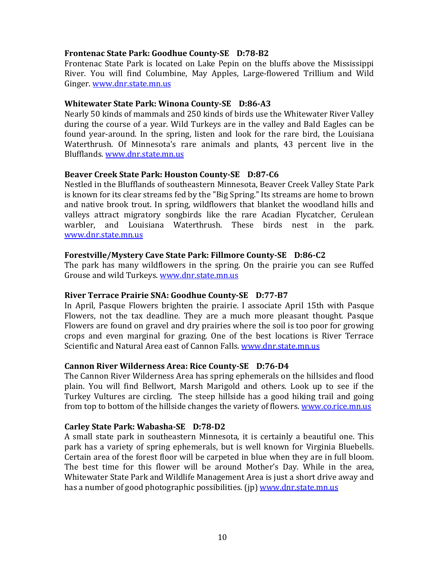### **Frontenac State Park: Goodhue County-SE D:78-B2**

Frontenac State Park is located on Lake Pepin on the bluffs above the Mississippi River. You will find Columbine, May Apples, Large-flowered Trillium and Wild Ginger. [www.dnr.state.mn.us](http://www.dnr.state.mn.us/)

### **Whitewater State Park: Winona County-SE D:86-A3**

Nearly 50 kinds of mammals and 250 kinds of birds use the Whitewater River Valley during the course of a year. Wild Turkeys are in the valley and Bald Eagles can be found year-around. In the spring, listen and look for the rare bird, the Louisiana Waterthrush. Of Minnesota's rare animals and plants, 43 percent live in the Blufflands. [www.dnr.state.mn.us](http://www.dnr.state.mn.us/)

### **Beaver Creek State Park: Houston County-SE D:87-C6**

Nestled in the Blufflands of southeastern Minnesota, Beaver Creek Valley State Park is known for its clear streams fed by the "Big Spring." Its streams are home to brown and native brook trout. In spring, wildflowers that blanket the woodland hills and valleys attract migratory songbirds like the rare Acadian Flycatcher, Cerulean warbler, and Louisiana Waterthrush. These birds nest in the park. [www.dnr.state.mn.us](http://www.dnr.state.mn.us/)

### **Forestville/Mystery Cave State Park: Fillmore County-SE D:86-C2**

The park has many wildflowers in the spring. On the prairie you can see Ruffed Grouse and wild Turkeys. [www.dnr.state.mn.us](http://www.dnr.state.mn.us/)

### **River Terrace Prairie SNA: Goodhue County-SE D:77-B7**

In April, Pasque Flowers brighten the prairie. I associate April 15th with Pasque Flowers, not the tax deadline. They are a much more pleasant thought. Pasque Flowers are found on gravel and dry prairies where the soil is too poor for growing crops and even marginal for grazing. One of the best locations is River Terrace Scientific and Natural Area east of Cannon Falls. [www.dnr.state.mn.us](http://www.dnr.state.mn.us/)

### **Cannon River Wilderness Area: Rice County-SE D:76-D4**

The Cannon River Wilderness Area has spring ephemerals on the hillsides and flood plain. You will find Bellwort, Marsh Marigold and others. Look up to see if the Turkey Vultures are circling. The steep hillside has a good hiking trail and going from top to bottom of the hillside changes the variety of flowers. [www.co.rice.mn.us](http://www.co.rice.mn.us/)

### **Carley State Park: Wabasha-SE D:78-D2**

A small state park in southeastern Minnesota, it is certainly a beautiful one. This park has a variety of spring ephemerals, but is well known for Virginia Bluebells. Certain area of the forest floor will be carpeted in blue when they are in full bloom. The best time for this flower will be around Mother's Day. While in the area, Whitewater State Park and Wildlife Management Area is just a short drive away and has a number of good photographic possibilities. (ip) [www.dnr.state.mn.us](http://www.dnr.state.mn.us/)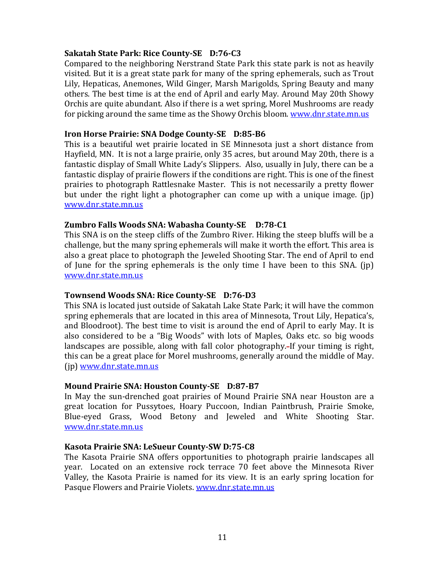### **Sakatah State Park: Rice County-SE D:76-C3**

Compared to the neighboring Nerstrand State Park this state park is not as heavily visited. But it is a great state park for many of the spring ephemerals, such as Trout Lily, Hepaticas, Anemones, Wild Ginger, Marsh Marigolds, Spring Beauty and many others. The best time is at the end of April and early May. Around May 20th Showy Orchis are quite abundant. Also if there is a wet spring, Morel Mushrooms are ready for picking around the same time as the Showy Orchis bloom. [www.dnr.state.mn.us](http://www.dnr.state.mn.us/)

### **Iron Horse Prairie: SNA Dodge County-SE D:85-B6**

This is a beautiful wet prairie located in SE Minnesota just a short distance from Hayfield, MN. It is not a large prairie, only 35 acres, but around May 20th, there is a fantastic display of Small White Lady's Slippers. Also, usually in July, there can be a fantastic display of prairie flowers if the conditions are right. This is one of the finest prairies to photograph Rattlesnake Master. This is not necessarily a pretty flower but under the right light a photographer can come up with a unique image. (jp) [www.dnr.state.mn.us](http://www.dnr.state.mn.us/)

### **Zumbro Falls Woods SNA: Wabasha County-SE D:78-C1**

This SNA is on the steep cliffs of the Zumbro River. Hiking the steep bluffs will be a challenge, but the many spring ephemerals will make it worth the effort. This area is also a great place to photograph the Jeweled Shooting Star. The end of April to end of June for the spring ephemerals is the only time I have been to this SNA. (jp) [www.dnr.state.mn.us](http://www.dnr.state.mn.us/)

### **Townsend Woods SNA: Rice County-SE D:76-D3**

This SNA is located just outside of Sakatah Lake State Park; it will have the common spring ephemerals that are located in this area of Minnesota, Trout Lily, Hepatica's, and Bloodroot). The best time to visit is around the end of April to early May. It is also considered to be a "Big Woods" with lots of Maples, Oaks etc. so big woods landscapes are possible, along with fall color photography. If your timing is right, this can be a great place for Morel mushrooms, generally around the middle of May. (jp) [www.dnr.state.mn.us](http://www.dnr.state.mn.us/)

### **Mound Prairie SNA: Houston County-SE D:87-B7**

In May the sun-drenched goat prairies of Mound Prairie SNA near Houston are a great location for Pussytoes, Hoary Puccoon, Indian Paintbrush, Prairie Smoke, Blue-eyed Grass, Wood Betony and Jeweled and White Shooting Star. [www.dnr.state.mn.us](http://www.dnr.state.mn.us/)

### **Kasota Prairie SNA: LeSueur County-SW D:75-C8**

The Kasota Prairie SNA offers opportunities to photograph prairie landscapes all year. Located on an extensive rock terrace 70 feet above the Minnesota River Valley, the Kasota Prairie is named for its view. It is an early spring location for Pasque Flowers and Prairie Violets. [www.dnr.state.mn.us](http://www.dnr.state.mn.us/)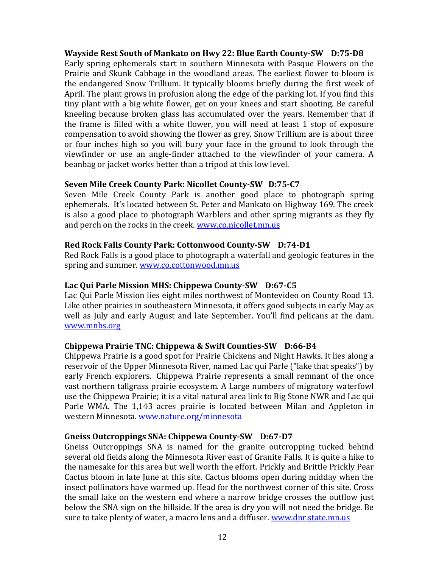### **Wayside Rest South of Mankato on Hwy 22: Blue Earth County-SW D:75-D8**

Early spring ephemerals start in southern Minnesota with Pasque Flowers on the Prairie and Skunk Cabbage in the woodland areas. The earliest flower to bloom is the endangered Snow Trillium. It typically blooms briefly during the first week of April. The plant grows in profusion along the edge of the parking lot. If you find this tiny plant with a big white flower, get on your knees and start shooting. Be careful kneeling because broken glass has accumulated over the years. Remember that if the frame is filled with a white flower, you will need at least 1 stop of exposure compensation to avoid showing the flower as grey. Snow Trillium are is about three or four inches high so you will bury your face in the ground to look through the viewfinder or use an angle-finder attached to the viewfinder of your camera. A beanbag or jacket works better than a tripod at this low level.

### **Seven Mile Creek County Park: Nicollet County-SW D:75-C7**

Seven Mile Creek County Park is another good place to photograph spring ephemerals. It's located between St. Peter and Mankato on Highway 169. The creek is also a good place to photograph Warblers and other spring migrants as they fly and perch on the rocks in the creek[. www.co.nicollet.mn.us](http://www.co.nicollet.mn.us/)

### **Red Rock Falls County Park: Cottonwood County-SW D:74-D1**

Red Rock Falls is a good place to photograph a waterfall and geologic features in the spring and summer. [www.co.cottonwood.mn.us](http://www.co.cottonwood.mn.us/)

### **Lac Qui Parle Mission MHS: Chippewa County-SW D:67-C5**

Lac Qui Parle Mission lies eight miles northwest of Montevideo on County Road 13. Like other prairies in southeastern Minnesota, it offers good subjects in early May as well as July and early August and late September. You'll find pelicans at the dam. [www.mnhs.org](http://www.mnhs.org/)

### **Chippewa Prairie TNC: Chippewa & Swift Counties-SW D:66-B4**

Chippewa Prairie is a good spot for Prairie Chickens and Night Hawks. It lies along a reservoir of the Upper Minnesota River, named Lac qui Parle ("lake that speaks") by early French explorers. Chippewa Prairie represents a small remnant of the once vast northern tallgrass prairie ecosystem. A Large numbers of migratory waterfowl use the Chippewa Prairie; it is a vital natural area link to Big Stone NWR and Lac qui Parle WMA. The 1,143 acres prairie is located between Milan and Appleton in western Minnesota. [www.nature.org/minnesota](http://www.nature.org/minnesota)

### **Gneiss Outcroppings SNA: Chippewa County-SW D:67-D7**

Gneiss Outcroppings SNA is named for the granite outcropping tucked behind several old fields along the Minnesota River east of Granite Falls. It is quite a hike to the namesake for this area but well worth the effort. Prickly and Brittle Prickly Pear Cactus bloom in late June at this site. Cactus blooms open during midday when the insect pollinators have warmed up. Head for the northwest corner of this site. Cross the small lake on the western end where a narrow bridge crosses the outflow just below the SNA sign on the hillside. If the area is dry you will not need the bridge. Be sure to take plenty of water, a macro lens and a diffuser. [www.dnr.state.mn.us](http://www.dnr.state.mn.us/)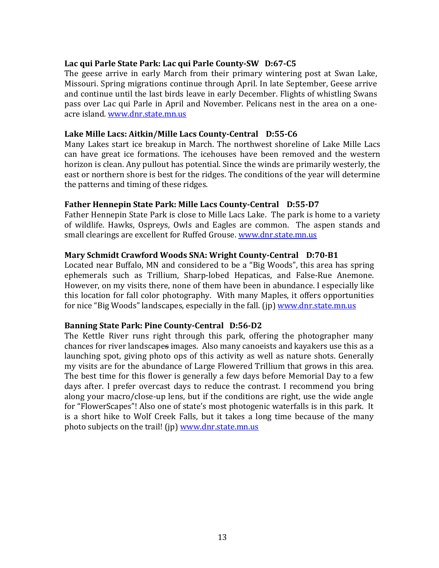### **Lac qui Parle State Park: Lac qui Parle County-SW D:67-C5**

The geese arrive in early March from their primary wintering post at Swan Lake, Missouri. Spring migrations continue through April. In late September, Geese arrive and continue until the last birds leave in early December. Flights of whistling Swans pass over Lac qui Parle in April and November. Pelicans nest in the area on a oneacre island[. www.dnr.state.mn.us](http://www.dnr.state.mn.us/)

### **Lake Mille Lacs: Aitkin/Mille Lacs County-Central D:55-C6**

Many Lakes start ice breakup in March. The northwest shoreline of Lake Mille Lacs can have great ice formations. The icehouses have been removed and the western horizon is clean. Any pullout has potential. Since the winds are primarily westerly, the east or northern shore is best for the ridges. The conditions of the year will determine the patterns and timing of these ridges.

### **Father Hennepin State Park: Mille Lacs County-Central D:55-D7**

Father Hennepin State Park is close to Mille Lacs Lake. The park is home to a variety of wildlife. Hawks, Ospreys, Owls and Eagles are common. The aspen stands and small clearings are excellent for Ruffed Grouse. [www.dnr.state.mn.us](http://www.dnr.state.mn.us/)

### **Mary Schmidt Crawford Woods SNA: Wright County-Central D:70-B1**

Located near Buffalo, MN and considered to be a "Big Woods", this area has spring ephemerals such as Trillium, Sharp-lobed Hepaticas, and False-Rue Anemone. However, on my visits there, none of them have been in abundance. I especially like this location for fall color photography. With many Maples, it offers opportunities for nice "Big Woods" landscapes, especially in the fall. (ip) [www.dnr.state.mn.us](http://www.dnr.state.mn.us/)

### **Banning State Park: Pine County-Central D:56-D2**

The Kettle River runs right through this park, offering the photographer many chances for river landscapes images. Also many canoeists and kayakers use this as a launching spot, giving photo ops of this activity as well as nature shots. Generally my visits are for the abundance of Large Flowered Trillium that grows in this area. The best time for this flower is generally a few days before Memorial Day to a few days after. I prefer overcast days to reduce the contrast. I recommend you bring along your macro/close-up lens, but if the conditions are right, use the wide angle for "FlowerScapes"! Also one of state's most photogenic waterfalls is in this park. It is a short hike to Wolf Creek Falls, but it takes a long time because of the many photo subjects on the trail! (jp) [www.dnr.state.mn.us](http://www.dnr.state.mn.us/)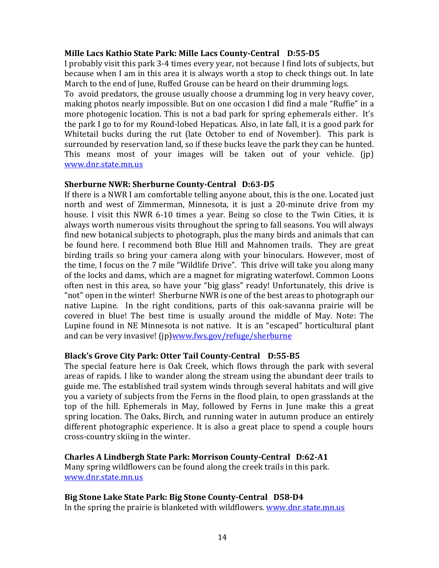### **Mille Lacs Kathio State Park: Mille Lacs County-Central D:55-D5**

I probably visit this park 3-4 times every year, not because I find lots of subjects, but because when I am in this area it is always worth a stop to check things out. In late March to the end of June, Ruffed Grouse can be heard on their drumming logs.

To avoid predators, the grouse usually choose a drumming log in very heavy cover, making photos nearly impossible. But on one occasion I did find a male "Ruffie" in a more photogenic location. This is not a bad park for spring ephemerals either. It's the park I go to for my Round-lobed Hepaticas. Also, in late fall, it is a good park for Whitetail bucks during the rut (late October to end of November). This park is surrounded by reservation land, so if these bucks leave the park they can be hunted. This means most of your images will be taken out of your vehicle. (jp) [www.dnr.state.mn.us](http://www.dnr.state.mn.us/)

### **Sherburne NWR: Sherburne County-Central D:63-D5**

If there is a NWR I am comfortable telling anyone about, this is the one. Located just north and west of Zimmerman, Minnesota, it is just a 20-minute drive from my house. I visit this NWR 6-10 times a year. Being so close to the Twin Cities, it is always worth numerous visits throughout the spring to fall seasons. You will always find new botanical subjects to photograph, plus the many birds and animals that can be found here. I recommend both Blue Hill and Mahnomen trails. They are great birding trails so bring your camera along with your binoculars. However, most of the time, I focus on the 7 mile "Wildlife Drive". This drive will take you along many of the locks and dams, which are a magnet for migrating waterfowl. Common Loons often nest in this area, so have your "big glass" ready! Unfortunately, this drive is "not" open in the winter! Sherburne NWR is one of the best areas to photograph our native Lupine. In the right conditions, parts of this oak-savanna prairie will be covered in blue! The best time is usually around the middle of May. Note: The Lupine found in NE Minnesota is not native. It is an "escaped" horticultural plant and can be very invasive! (ip[\)www.fws.gov/refuge/sherburne](http://www.fws.gov/refuge/sherburne)

### **Black's Grove City Park: Otter Tail County-Central D:55-B5**

The special feature here is Oak Creek, which flows through the park with several areas of rapids. I like to wander along the stream using the abundant deer trails to guide me. The established trail system winds through several habitats and will give you a variety of subjects from the Ferns in the flood plain, to open grasslands at the top of the hill. Ephemerals in May, followed by Ferns in June make this a great spring location. The Oaks, Birch, and running water in autumn produce an entirely different photographic experience. It is also a great place to spend a couple hours cross-country skiing in the winter.

### **Charles A Lindbergh State Park: Morrison County-Central D:62-A1**

Many spring wildflowers can be found along the creek trails in this park. [www.dnr.state.mn.us](http://www.dnr.state.mn.us/)

### **Big Stone Lake State Park: Big Stone County-Central D58-D4** In the spring the prairie is blanketed with wildflowers. [www.dnr.state.mn.us](http://www.dnr.state.mn.us/)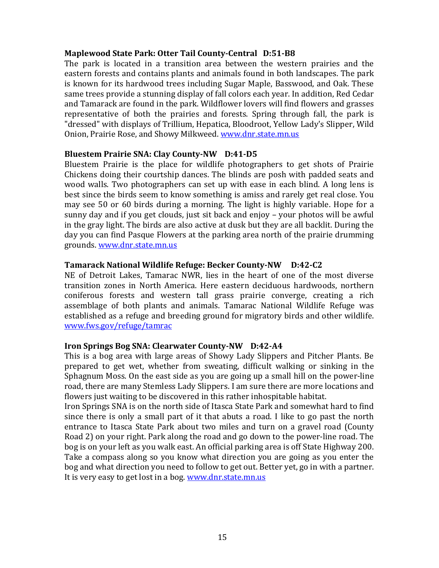### **Maplewood State Park: Otter Tail County-Central D:51-B8**

The park is located in a transition area between the western prairies and the eastern forests and contains plants and animals found in both landscapes. The park is known for its hardwood trees including Sugar Maple, Basswood, and Oak. These same trees provide a stunning display of fall colors each year. In addition, Red Cedar and Tamarack are found in the park. Wildflower lovers will find flowers and grasses representative of both the prairies and forests. Spring through fall, the park is "dressed" with displays of Trillium, Hepatica, Bloodroot, Yellow Lady's Slipper, Wild Onion, Prairie Rose, and Showy Milkweed. [www.dnr.state.mn.us](http://www.dnr.state.mn.us/)

### **Bluestem Prairie SNA: Clay County-NW D:41-D5**

Bluestem Prairie is the place for wildlife photographers to get shots of Prairie Chickens doing their courtship dances. The blinds are posh with padded seats and wood walls. Two photographers can set up with ease in each blind. A long lens is best since the birds seem to know something is amiss and rarely get real close. You may see 50 or 60 birds during a morning. The light is highly variable. Hope for a sunny day and if you get clouds, just sit back and enjoy – your photos will be awful in the gray light. The birds are also active at dusk but they are all backlit. During the day you can find Pasque Flowers at the parking area north of the prairie drumming grounds. [www.dnr.state.mn.us](http://www.dnr.state.mn.us/)

### **Tamarack National Wildlife Refuge: Becker County-NW D:42-C2**

NE of Detroit Lakes, Tamarac NWR, lies in the heart of one of the most diverse transition zones in North America. Here eastern deciduous hardwoods, northern coniferous forests and western tall grass prairie converge, creating a rich assemblage of both plants and animals. Tamarac National Wildlife Refuge was established as a refuge and breeding ground for migratory birds and other wildlife. [www.fws.gov/refuge/tamrac](http://www.fws.gov/refuge/tamrac)

### **Iron Springs Bog SNA: Clearwater County-NW D:42-A4**

This is a bog area with large areas of Showy Lady Slippers and Pitcher Plants. Be prepared to get wet, whether from sweating, difficult walking or sinking in the Sphagnum Moss. On the east side as you are going up a small hill on the power-line road, there are many Stemless Lady Slippers. I am sure there are more locations and flowers just waiting to be discovered in this rather inhospitable habitat.

Iron Springs SNA is on the north side of Itasca State Park and somewhat hard to find since there is only a small part of it that abuts a road. I like to go past the north entrance to Itasca State Park about two miles and turn on a gravel road (County Road 2) on your right. Park along the road and go down to the power-line road. The bog is on your left as you walk east. An official parking area is off State Highway 200. Take a compass along so you know what direction you are going as you enter the bog and what direction you need to follow to get out. Better yet, go in with a partner. It is very easy to get lost in a bog. [www.dnr.state.mn.us](http://www.dnr.state.mn.us/)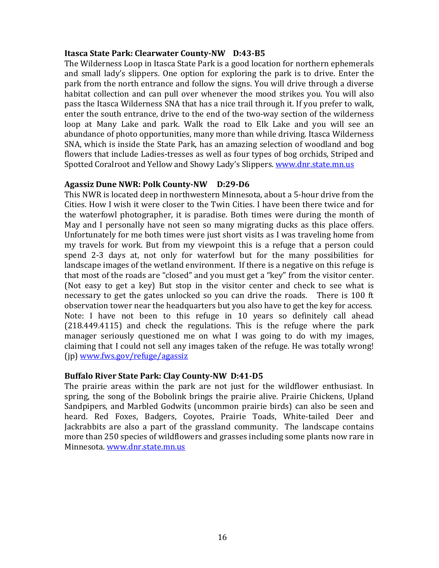### **Itasca State Park: Clearwater County-NW D:43-B5**

The Wilderness Loop in Itasca State Park is a good location for northern ephemerals and small lady's slippers. One option for exploring the park is to drive. Enter the park from the north entrance and follow the signs. You will drive through a diverse habitat collection and can pull over whenever the mood strikes you. You will also pass the Itasca Wilderness SNA that has a nice trail through it. If you prefer to walk, enter the south entrance, drive to the end of the two-way section of the wilderness loop at Many Lake and park. Walk the road to Elk Lake and you will see an abundance of photo opportunities, many more than while driving. Itasca Wilderness SNA, which is inside the State Park, has an amazing selection of woodland and bog flowers that include Ladies-tresses as well as four types of bog orchids, Striped and Spotted Coralroot and Yellow and Showy Lady's Slippers. [www.dnr.state.mn.us](http://www.dnr.state.mn.us/)

### **Agassiz Dune NWR: Polk County-NW D:29-D6**

This NWR is located deep in northwestern Minnesota, about a 5-hour drive from the Cities. How I wish it were closer to the Twin Cities. I have been there twice and for the waterfowl photographer, it is paradise. Both times were during the month of May and I personally have not seen so many migrating ducks as this place offers. Unfortunately for me both times were just short visits as I was traveling home from my travels for work. But from my viewpoint this is a refuge that a person could spend 2-3 days at, not only for waterfowl but for the many possibilities for landscape images of the wetland environment. If there is a negative on this refuge is that most of the roads are "closed" and you must get a "key" from the visitor center. (Not easy to get a key) But stop in the visitor center and check to see what is necessary to get the gates unlocked so you can drive the roads. There is 100 ft observation tower near the headquarters but you also have to get the key for access. Note: I have not been to this refuge in 10 years so definitely call ahead (218.449.4115) and check the regulations. This is the refuge where the park manager seriously questioned me on what I was going to do with my images, claiming that I could not sell any images taken of the refuge. He was totally wrong! (jp) [www.fws.gov/refuge/agassiz](http://www.fws.gov/refuge/agassiz)

### **Buffalo River State Park: Clay County-NW D:41-D5**

The prairie areas within the park are not just for the wildflower enthusiast. In spring, the song of the Bobolink brings the prairie alive. Prairie Chickens, Upland Sandpipers, and Marbled Godwits (uncommon prairie birds) can also be seen and heard. Red Foxes, Badgers, Coyotes, Prairie Toads, White-tailed Deer and Jackrabbits are also a part of the grassland community. The landscape contains more than 250 species of wildflowers and grasses including some plants now rare in Minnesota. [www.dnr.state.mn.us](http://www.dnr.state.mn.us/)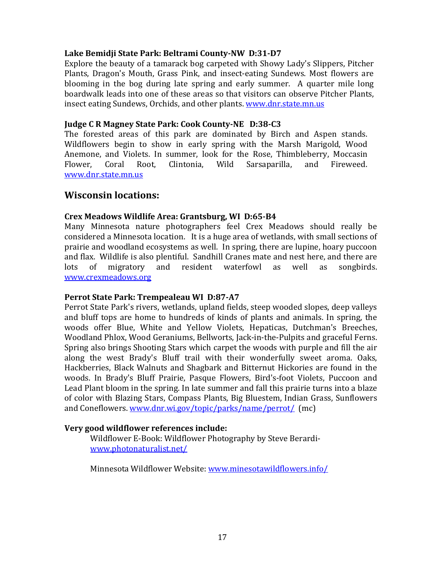### **Lake Bemidji State Park: Beltrami County-NW D:31-D7**

Explore the beauty of a tamarack bog carpeted with Showy Lady's Slippers, Pitcher Plants, Dragon's Mouth, Grass Pink, and insect-eating Sundews. Most flowers are blooming in the bog during late spring and early summer. A quarter mile long boardwalk leads into one of these areas so that visitors can observe Pitcher Plants, insect eating Sundews, Orchids, and other plants. [www.dnr.state.mn.us](http://www.dnr.state.mn.us/)

### **Judge C R Magney State Park: Cook County-NE D:38-C3**

The forested areas of this park are dominated by Birch and Aspen stands. Wildflowers begin to show in early spring with the Marsh Marigold, Wood Anemone, and Violets. In summer, look for the Rose, Thimbleberry, Moccasin Flower, Coral Root, Clintonia, Wild Sarsaparilla, and Fireweed. [www.dnr.state.mn.us](http://www.dnr.state.mn.us/)

### **Wisconsin locations:**

### **Crex Meadows Wildlife Area: Grantsburg, WI D:65-B4**

Many Minnesota nature photographers feel Crex Meadows should really be considered a Minnesota location. It is a huge area of wetlands, with small sections of prairie and woodland ecosystems as well. In spring, there are lupine, hoary puccoon and flax. Wildlife is also plentiful. Sandhill Cranes mate and nest here, and there are lots of migratory and resident waterfowl as well as songbirds. [www.crexmeadows.org](http://www.crexmeadows.org/)

### **Perrot State Park: Trempealeau WI D:87-A7**

Perrot State Park's rivers, wetlands, upland fields, steep wooded slopes, deep valleys and bluff tops are home to hundreds of kinds of plants and animals. In spring, the woods offer Blue, White and Yellow Violets, Hepaticas, Dutchman's Breeches, Woodland Phlox, Wood Geraniums, Bellworts, Jack-in-the-Pulpits and graceful Ferns. Spring also brings Shooting Stars which carpet the woods with purple and fill the air along the west Brady's Bluff trail with their wonderfully sweet aroma. Oaks, Hackberries, Black Walnuts and Shagbark and Bitternut Hickories are found in the woods. In Brady's Bluff Prairie, Pasque Flowers, Bird's-foot Violets, Puccoon and Lead Plant bloom in the spring. In late summer and fall this prairie turns into a blaze of color with Blazing Stars, Compass Plants, Big Bluestem, Indian Grass, Sunflowers and Coneflowers. [www.dnr.wi.gov/topic/parks/name/perrot/](http://www.dnr.wi.gov/topic/parks/name/perrot/) (mc)

### **Very good wildflower references include:**

Wildflower E-Book: Wildflower Photography by Steve Berardi[www.photonaturalist.net/](http://www.photonaturalist.net/)

Minnesota Wildflower Website: [www.minesotawildflowers.info/](http://www.minesotawildflowers.info/)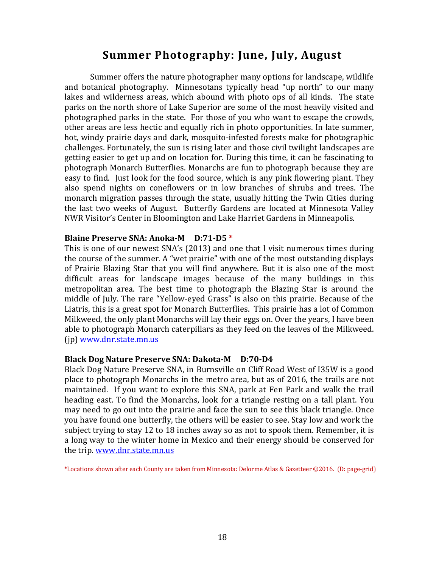# **Summer Photography: June, July, August**

Summer offers the nature photographer many options for landscape, wildlife and botanical photography. Minnesotans typically head "up north" to our many lakes and wilderness areas, which abound with photo ops of all kinds. The state parks on the north shore of Lake Superior are some of the most heavily visited and photographed parks in the state. For those of you who want to escape the crowds, other areas are less hectic and equally rich in photo opportunities. In late summer, hot, windy prairie days and dark, mosquito-infested forests make for photographic challenges. Fortunately, the sun is rising later and those civil twilight landscapes are getting easier to get up and on location for. During this time, it can be fascinating to photograph Monarch Butterflies. Monarchs are fun to photograph because they are easy to find. Just look for the food source, which is any pink flowering plant. They also spend nights on coneflowers or in low branches of shrubs and trees. The monarch migration passes through the state, usually hitting the Twin Cities during the last two weeks of August. Butterfly Gardens are located at Minnesota Valley NWR Visitor's Center in Bloomington and Lake Harriet Gardens in Minneapolis.

### **Blaine Preserve SNA: Anoka-M D:71-D5 \***

This is one of our newest SNA's (2013) and one that I visit numerous times during the course of the summer. A "wet prairie" with one of the most outstanding displays of Prairie Blazing Star that you will find anywhere. But it is also one of the most difficult areas for landscape images because of the many buildings in this metropolitan area. The best time to photograph the Blazing Star is around the middle of July. The rare "Yellow-eyed Grass" is also on this prairie. Because of the Liatris, this is a great spot for Monarch Butterflies. This prairie has a lot of Common Milkweed, the only plant Monarchs will lay their eggs on. Over the years, I have been able to photograph Monarch caterpillars as they feed on the leaves of the Milkweed. (jp) [www.dnr.state.mn.us](http://www.dnr.state.mn.us/)

### **Black Dog Nature Preserve SNA: Dakota-M D:70-D4**

Black Dog Nature Preserve SNA, in Burnsville on Cliff Road West of I35W is a good place to photograph Monarchs in the metro area, but as of 2016, the trails are not maintained. If you want to explore this SNA, park at Fen Park and walk the trail heading east. To find the Monarchs, look for a triangle resting on a tall plant. You may need to go out into the prairie and face the sun to see this black triangle. Once you have found one butterfly, the others will be easier to see. Stay low and work the subject trying to stay 12 to 18 inches away so as not to spook them. Remember, it is a long way to the winter home in Mexico and their energy should be conserved for the trip. [www.dnr.state.mn.us](http://www.dnr.state.mn.us/)

\*Locations shown after each County are taken from Minnesota: Delorme Atlas & Gazetteer ©2016. (D: page-grid)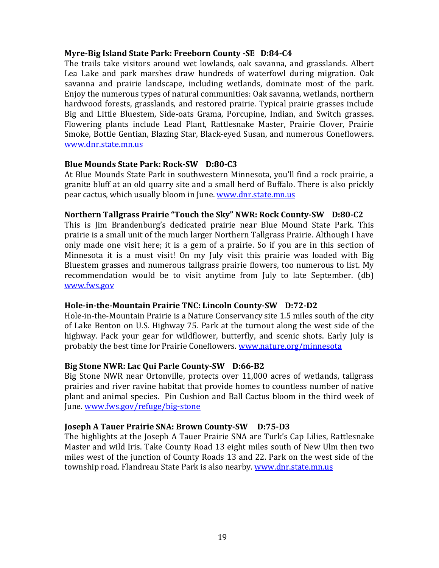### **Myre-Big Island State Park: Freeborn County -SE D:84-C4**

The trails take visitors around wet lowlands, oak savanna, and grasslands. Albert Lea Lake and park marshes draw hundreds of waterfowl during migration. Oak savanna and prairie landscape, including wetlands, dominate most of the park. Enjoy the numerous types of natural communities: Oak savanna, wetlands, northern hardwood forests, grasslands, and restored prairie. Typical prairie grasses include Big and Little Bluestem, Side-oats Grama, Porcupine, Indian, and Switch grasses. Flowering plants include Lead Plant, Rattlesnake Master, Prairie Clover, Prairie Smoke, Bottle Gentian, Blazing Star, Black-eyed Susan, and numerous Coneflowers. [www.dnr.state.mn.us](http://www.dnr.state.mn.us/)

### **Blue Mounds State Park: Rock-SW D:80-C3**

At Blue Mounds State Park in southwestern Minnesota, you'll find a rock prairie, a granite bluff at an old quarry site and a small herd of Buffalo. There is also prickly pear cactus, which usually bloom in June. [www.dnr.state.mn.us](http://www.dnr.state.mn.us/)

### **Northern Tallgrass Prairie "Touch the Sky" NWR: Rock County-SW D:80-C2**

This is Jim Brandenburg's dedicated prairie near Blue Mound State Park. This prairie is a small unit of the much larger Northern Tallgrass Prairie. Although I have only made one visit here; it is a gem of a prairie. So if you are in this section of Minnesota it is a must visit! On my July visit this prairie was loaded with Big Bluestem grasses and numerous tallgrass prairie flowers, too numerous to list. My recommendation would be to visit anytime from July to late September. (db) [www.fws.gov](http://www.fws.gov/)

### **Hole-in-the-Mountain Prairie TNC: Lincoln County-SW D:72-D2**

Hole-in-the-Mountain Prairie is a Nature Conservancy site 1.5 miles south of the city of Lake Benton on U.S. Highway 75. Park at the turnout along the west side of the highway. Pack your gear for wildflower, butterfly, and scenic shots. Early July is probably the best time for Prairie Coneflowers. [www.nature.org/minnesota](http://www.nature.org/minnesota)

### **Big Stone NWR: Lac Qui Parle County-SW D:66-B2**

Big Stone NWR near Ortonville, protects over 11,000 acres of wetlands, tallgrass prairies and river ravine habitat that provide homes to countless number of native plant and animal species. Pin Cushion and Ball Cactus bloom in the third week of June. [www.fws.gov/refuge/big-stone](http://www.fws.gov/refuge/big-stone)

### **Joseph A Tauer Prairie SNA: Brown County-SW D:75-D3**

The highlights at the Joseph A Tauer Prairie SNA are Turk's Cap Lilies, Rattlesnake Master and wild Iris. Take County Road 13 eight miles south of New Ulm then two miles west of the junction of County Roads 13 and 22. Park on the west side of the township road. Flandreau State Park is also nearby. [www.dnr.state.mn.us](http://www.dnr.state.mn.us/)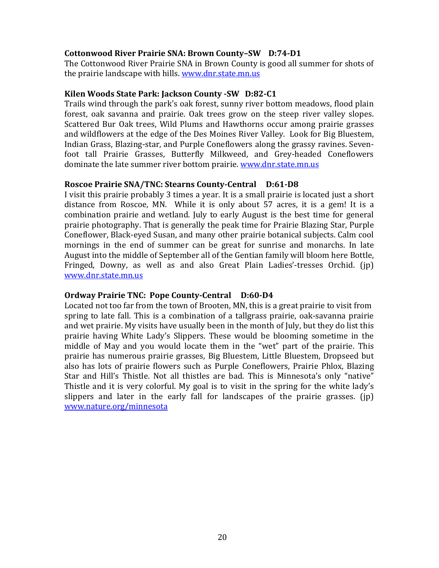### **Cottonwood River Prairie SNA: Brown County–SW D:74-D1**

The Cottonwood River Prairie SNA in Brown County is good all summer for shots of the prairie landscape with hills. [www.dnr.state.mn.us](http://www.dnr.state.mn.us/)

### **Kilen Woods State Park: Jackson County -SW D:82-C1**

Trails wind through the park's oak forest, sunny river bottom meadows, flood plain forest, oak savanna and prairie. Oak trees grow on the steep river valley slopes. Scattered Bur Oak trees, Wild Plums and Hawthorns occur among prairie grasses and wildflowers at the edge of the Des Moines River Valley. Look for Big Bluestem, Indian Grass, Blazing-star, and Purple Coneflowers along the grassy ravines. Sevenfoot tall Prairie Grasses, Butterfly Milkweed, and Grey-headed Coneflowers dominate the late summer river bottom prairie. [www.dnr.state.mn.us](http://www.dnr.state.mn.us/)

### **Roscoe Prairie SNA/TNC: Stearns County-Central D:61-D8**

I visit this prairie probably 3 times a year. It is a small prairie is located just a short distance from Roscoe, MN. While it is only about 57 acres, it is a gem! It is a combination prairie and wetland. July to early August is the best time for general prairie photography. That is generally the peak time for Prairie Blazing Star, Purple Coneflower, Black-eyed Susan, and many other prairie botanical subjects. Calm cool mornings in the end of summer can be great for sunrise and monarchs. In late August into the middle of September all of the Gentian family will bloom here Bottle, Fringed, Downy, as well as and also Great Plain Ladies'-tresses Orchid. (jp) [www.dnr.state.mn.us](http://www.dnr.state.mn.us/)

### **Ordway Prairie TNC: Pope County-Central D:60-D4**

Located not too far from the town of Brooten, MN, this is a great prairie to visit from spring to late fall. This is a combination of a tallgrass prairie, oak-savanna prairie and wet prairie. My visits have usually been in the month of July, but they do list this prairie having White Lady's Slippers. These would be blooming sometime in the middle of May and you would locate them in the "wet" part of the prairie. This prairie has numerous prairie grasses, Big Bluestem, Little Bluestem, Dropseed but also has lots of prairie flowers such as Purple Coneflowers, Prairie Phlox, Blazing Star and Hill's Thistle. Not all thistles are bad. This is Minnesota's only "native" Thistle and it is very colorful. My goal is to visit in the spring for the white lady's slippers and later in the early fall for landscapes of the prairie grasses. (jp) [www.nature.org/minnesota](http://www.nature.org/minnesota)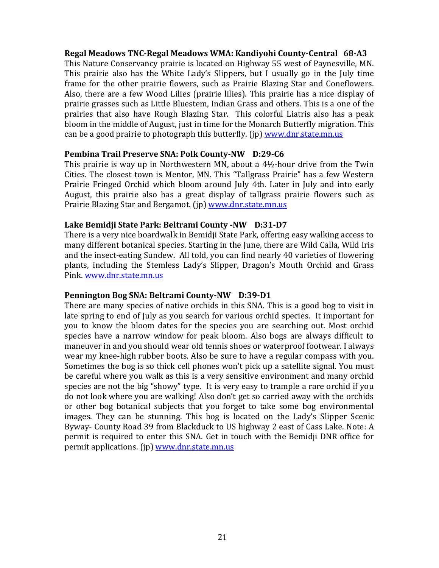### **Regal Meadows TNC-Regal Meadows WMA: Kandiyohi County-Central 68-A3**

This Nature Conservancy prairie is located on Highway 55 west of Paynesville, MN. This prairie also has the White Lady's Slippers, but I usually go in the July time frame for the other prairie flowers, such as Prairie Blazing Star and Coneflowers. Also, there are a few Wood Lilies (prairie lilies). This prairie has a nice display of prairie grasses such as Little Bluestem, Indian Grass and others. This is a one of the prairies that also have Rough Blazing Star. This colorful Liatris also has a peak bloom in the middle of August, just in time for the Monarch Butterfly migration. This can be a good prairie to photograph this butterfly. (ip) [www.dnr.state.mn.us](http://www.dnr.state.mn.us/)

### **Pembina Trail Preserve SNA: Polk County-NW D:29-C6**

This prairie is way up in Northwestern MN, about a 4½-hour drive from the Twin Cities. The closest town is Mentor, MN. This "Tallgrass Prairie" has a few Western Prairie Fringed Orchid which bloom around July 4th. Later in July and into early August, this prairie also has a great display of tallgrass prairie flowers such as Prairie Blazing Star and Bergamot. (jp) [www.dnr.state.mn.us](http://www.dnr.state.mn.us/)

### **Lake Bemidji State Park: Beltrami County -NW D:31-D7**

There is a very nice boardwalk in Bemidji State Park, offering easy walking access to many different botanical species. Starting in the June, there are Wild Calla, Wild Iris and the insect-eating Sundew. All told, you can find nearly 40 varieties of flowering plants, including the Stemless Lady's Slipper, Dragon's Mouth Orchid and Grass Pink. [www.dnr.state.mn.us](http://www.dnr.state.mn.us/)

### **Pennington Bog SNA: Beltrami County-NW D:39-D1**

There are many species of native orchids in this SNA. This is a good bog to visit in late spring to end of July as you search for various orchid species. It important for you to know the bloom dates for the species you are searching out. Most orchid species have a narrow window for peak bloom. Also bogs are always difficult to maneuver in and you should wear old tennis shoes or waterproof footwear. I always wear my knee-high rubber boots. Also be sure to have a regular compass with you. Sometimes the bog is so thick cell phones won't pick up a satellite signal. You must be careful where you walk as this is a very sensitive environment and many orchid species are not the big "showy" type. It is very easy to trample a rare orchid if you do not look where you are walking! Also don't get so carried away with the orchids or other bog botanical subjects that you forget to take some bog environmental images. They can be stunning. This bog is located on the Lady's Slipper Scenic Byway- County Road 39 from Blackduck to US highway 2 east of Cass Lake. Note: A permit is required to enter this SNA. Get in touch with the Bemidji DNR office for permit applications. (jp) [www.dnr.state.mn.us](http://www.dnr.state.mn.us/)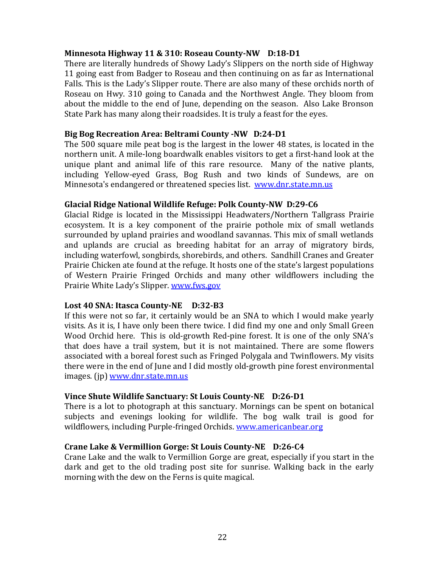### **Minnesota Highway 11 & 310: Roseau County-NW D:18-D1**

There are literally hundreds of Showy Lady's Slippers on the north side of Highway 11 going east from Badger to Roseau and then continuing on as far as International Falls. This is the Lady's Slipper route. There are also many of these orchids north of Roseau on Hwy. 310 going to Canada and the Northwest Angle. They bloom from about the middle to the end of June, depending on the season. Also Lake Bronson State Park has many along their roadsides. It is truly a feast for the eyes.

### **Big Bog Recreation Area: Beltrami County -NW D:24-D1**

The 500 square mile peat bog is the largest in the lower 48 states, is located in the northern unit. A mile-long boardwalk enables visitors to get a first-hand look at the unique plant and animal life of this rare resource. Many of the native plants, including Yellow-eyed Grass, Bog Rush and two kinds of Sundews, are on Minnesota's endangered or threatened species list. [www.dnr.state.mn.us](http://www.dnr.state.mn.us/)

### **Glacial Ridge National Wildlife Refuge: Polk County-NW D:29-C6**

Glacial Ridge is located in the Mississippi Headwaters/Northern Tallgrass Prairie ecosystem. It is a key component of the prairie pothole mix of small wetlands surrounded by upland prairies and woodland savannas. This mix of small wetlands and uplands are crucial as breeding habitat for an array of migratory birds, including waterfowl, songbirds, shorebirds, and others. Sandhill Cranes and Greater Prairie Chicken ate found at the refuge. It hosts one of the state's largest populations of Western Prairie Fringed Orchids and many other wildflowers including the Prairie White Lady's Slipper. [www.fws.gov](http://www.fws.gov/)

### **Lost 40 SNA: Itasca County-NE D:32-B3**

If this were not so far, it certainly would be an SNA to which I would make yearly visits. As it is, I have only been there twice. I did find my one and only Small Green Wood Orchid here. This is old-growth Red-pine forest. It is one of the only SNA's that does have a trail system, but it is not maintained. There are some flowers associated with a boreal forest such as Fringed Polygala and Twinflowers. My visits there were in the end of June and I did mostly old-growth pine forest environmental images. (ip) [www.dnr.state.mn.us](http://www.dnr.state.mn.us/)

### **Vince Shute Wildlife Sanctuary: St Louis County-NE D:26-D1**

There is a lot to photograph at this sanctuary. Mornings can be spent on botanical subjects and evenings looking for wildlife. The bog walk trail is good for wildflowers, including Purple-fringed Orchids. [www.americanbear.org](http://www.americanbear.org/)

### **Crane Lake & Vermillion Gorge: St Louis County-NE D:26-C4**

Crane Lake and the walk to Vermillion Gorge are great, especially if you start in the dark and get to the old trading post site for sunrise. Walking back in the early morning with the dew on the Ferns is quite magical.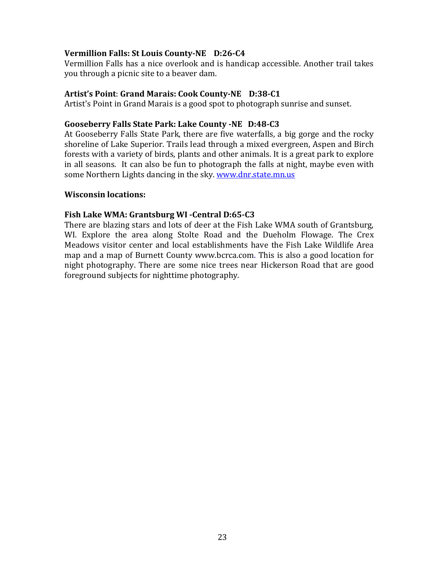### **Vermillion Falls: St Louis County-NE D:26-C4**

Vermillion Falls has a nice overlook and is handicap accessible. Another trail takes you through a picnic site to a beaver dam.

### **Artist's Point**: **Grand Marais: Cook County-NE D:38-C1**

Artist's Point in Grand Marais is a good spot to photograph sunrise and sunset.

### **Gooseberry Falls State Park: Lake County -NE D:48-C3**

At Gooseberry Falls State Park, there are five waterfalls, a big gorge and the rocky shoreline of Lake Superior. Trails lead through a mixed evergreen, Aspen and Birch forests with a variety of birds, plants and other animals. It is a great park to explore in all seasons. It can also be fun to photograph the falls at night, maybe even with some Northern Lights dancing in the sky. [www.dnr.state.mn.us](http://www.dnr.state.mn.us/)

### **Wisconsin locations:**

### **Fish Lake WMA: Grantsburg WI -Central D:65-C3**

There are blazing stars and lots of deer at the Fish Lake WMA south of Grantsburg, WI. Explore the area along Stolte Road and the Dueholm Flowage. The Crex Meadows visitor center and local establishments have the Fish Lake Wildlife Area map and a map of Burnett County [www.bcrca.com.](http://www.bcrca.com/) This is also a good location for night photography. There are some nice trees near Hickerson Road that are good foreground subjects for nighttime photography.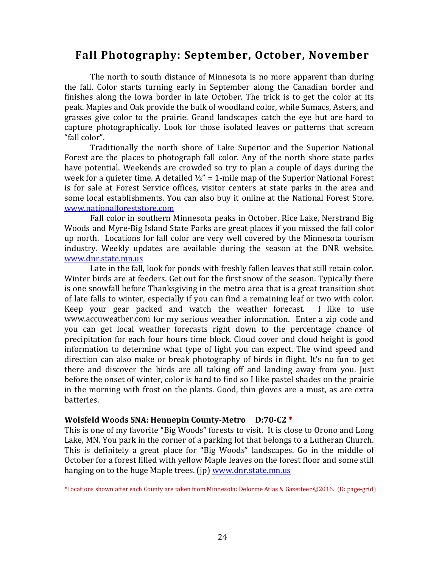# **Fall Photography: September, October, November**

The north to south distance of Minnesota is no more apparent than during the fall. Color starts turning early in September along the Canadian border and finishes along the Iowa border in late October. The trick is to get the color at its peak. Maples and Oak provide the bulk of woodland color, while Sumacs, Asters, and grasses give color to the prairie. Grand landscapes catch the eye but are hard to capture photographically. Look for those isolated leaves or patterns that scream "fall color".

Traditionally the north shore of Lake Superior and the Superior National Forest are the places to photograph fall color. Any of the north shore state parks have potential. Weekends are crowded so try to plan a couple of days during the week for a quieter time. A detailed  $\frac{1}{2}$ " = 1-mile map of the Superior National Forest is for sale at Forest Service offices, visitor centers at state parks in the area and some local establishments. You can also buy it online at the National Forest Store. [www.nationalforeststore.com](http://www.nationalforeststore.com/)

Fall color in southern Minnesota peaks in October. Rice Lake, Nerstrand Big Woods and Myre-Big Island State Parks are great places if you missed the fall color up north. Locations for fall color are very well covered by the Minnesota tourism industry. Weekly updates are available during the season at the DNR website. [www.dnr.state.mn.us](file:///Users/ardellalagerquist/Library/Containers/com.apple.mail/Data/Library/Mail%20Downloads/1AF4945D-DA4F-47C8-8254-9AF658BFFE13/../../AppData/Local/Microsoft/Windows/INetCache/Content.Outlook/WMV0BLB4/www.dnr.state.mn.us)

Late in the fall, look for ponds with freshly fallen leaves that still retain color. Winter birds are at feeders. Get out for the first snow of the season. Typically there is one snowfall before Thanksgiving in the metro area that is a great transition shot of late falls to winter, especially if you can find a remaining leaf or two with color. Keep your gear packed and watch the weather forecast. I like to use [www.accuweather.com](http://www.accuweather.com/) for my serious weather information. Enter a zip code and you can get local weather forecasts right down to the percentage chance of precipitation for each four hours time block. Cloud cover and cloud height is good information to determine what type of light you can expect. The wind speed and direction can also make or break photography of birds in flight. It's no fun to get there and discover the birds are all taking off and landing away from you. Just before the onset of winter, color is hard to find so I like pastel shades on the prairie in the morning with frost on the plants. Good, thin gloves are a must, as are extra batteries.

### **Wolsfeld Woods SNA: Hennepin County-Metro D:70-C2 \***

This is one of my favorite "Big Woods" forests to visit. It is close to Orono and Long Lake, MN. You park in the corner of a parking lot that belongs to a Lutheran Church. This is definitely a great place for "Big Woods" landscapes. Go in the middle of October for a forest filled with yellow Maple leaves on the forest floor and some still hanging on to the huge Maple trees. (ip) [www.dnr.state.mn.us](http://www.dnr.state.mn.us/)

\*Locations shown after each County are taken from Minnesota: Delorme Atlas & Gazetteer ©2016. (D: page-grid)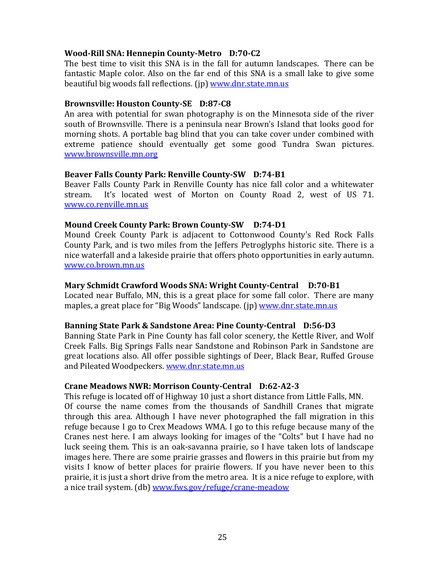### **Wood-Rill SNA: Hennepin County-Metro D:70-C2**

The best time to visit this SNA is in the fall for autumn landscapes. There can be fantastic Maple color. Also on the far end of this SNA is a small lake to give some beautiful big woods fall reflections. (ip) [www.dnr.state.mn.us](http://www.dnr.state.mn.us/)

### **Brownsville: Houston County-SE D:87-C8**

An area with potential for swan photography is on the Minnesota side of the river south of Brownsville. There is a peninsula near Brown's Island that looks good for morning shots. A portable bag blind that you can take cover under combined with extreme patience should eventually get some good Tundra Swan pictures. [www.brownsville.mn.org](http://www.brownsville.mn.org/) 

### **Beaver Falls County Park: Renville County-SW D:74-B1**

Beaver Falls County Park in Renville County has nice fall color and a whitewater stream. It's located west of Morton on County Road 2, west of US 71. [www.co.renville.mn.us](http://www.co.renville.mn.us/)

### **Mound Creek County Park: Brown County-SW D:74-D1**

Mound Creek County Park is adjacent to Cottonwood County's Red Rock Falls County Park, and is two miles from the Jeffers Petroglyphs historic site. There is a nice waterfall and a lakeside prairie that offers photo opportunities in early autumn. [www.co.brown.mn.us](http://www.co.brown.mn.us/)

### **Mary Schmidt Crawford Woods SNA: Wright County-Central D:70-B1**

Located near Buffalo, MN, this is a great place for some fall color. There are many maples, a great place for "Big Woods" landscape. (ip) [www.dnr.state.mn.us](http://www.dnr.state.mn.us/)

### **Banning State Park & Sandstone Area: Pine County-Central D:56-D3**

Banning State Park in Pine County has fall color scenery, the Kettle River, and Wolf Creek Falls. Big Springs Falls near Sandstone and Robinson Park in Sandstone are great locations also. All offer possible sightings of Deer, Black Bear, Ruffed Grouse and Pileated Woodpeckers. [www.dnr.state.mn.us](http://www.dnr.state.mn.us/)

### **Crane Meadows NWR: Morrison County-Central D:62-A2-3**

This refuge is located off of Highway 10 just a short distance from Little Falls, MN. Of course the name comes from the thousands of Sandhill Cranes that migrate through this area. Although I have never photographed the fall migration in this refuge because I go to Crex Meadows WMA. I go to this refuge because many of the Cranes nest here. I am always looking for images of the "Colts" but I have had no luck seeing them. This is an oak-savanna prairie, so I have taken lots of landscape images here. There are some prairie grasses and flowers in this prairie but from my visits I know of better places for prairie flowers. If you have never been to this prairie, it is just a short drive from the metro area. It is a nice refuge to explore, with a nice trail system. (db) [www.fws.gov/refuge/crane-meadow](http://www.fws.gov/refuge/crane-meadow)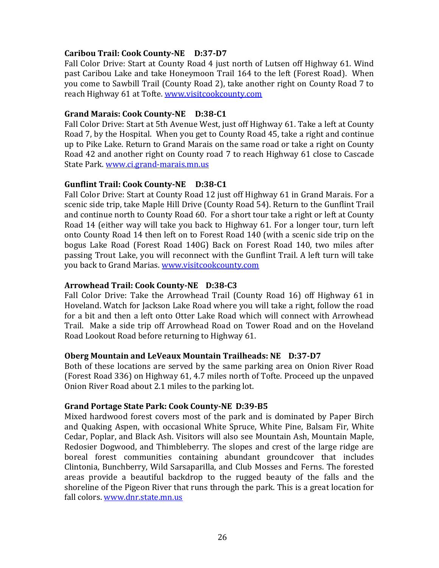### **Caribou Trail: Cook County-NE D:37-D7**

Fall Color Drive: Start at County Road 4 just north of Lutsen off Highway 61. Wind past Caribou Lake and take Honeymoon Trail 164 to the left (Forest Road). When you come to Sawbill Trail (County Road 2), take another right on County Road 7 to reach Highway 61 at Tofte. [www.visitcookcounty.com](http://www.visitcookcounty.com/)

### **Grand Marais: Cook County-NE D:38-C1**

Fall Color Drive: Start at 5th Avenue West, just off Highway 61. Take a left at County Road 7, by the Hospital. When you get to County Road 45, take a right and continue up to Pike Lake. Return to Grand Marais on the same road or take a right on County Road 42 and another right on County road 7 to reach Highway 61 close to Cascade State Park. [www.ci.grand-marais.mn.us](http://www.ci.grand-marais.mn.us/)

### **Gunflint Trail: Cook County-NE D:38-C1**

Fall Color Drive: Start at County Road 12 just off Highway 61 in Grand Marais. For a scenic side trip, take Maple Hill Drive (County Road 54). Return to the Gunflint Trail and continue north to County Road 60. For a short tour take a right or left at County Road 14 (either way will take you back to Highway 61. For a longer tour, turn left onto County Road 14 then left on to Forest Road 140 (with a scenic side trip on the bogus Lake Road (Forest Road 140G) Back on Forest Road 140, two miles after passing Trout Lake, you will reconnect with the Gunflint Trail. A left turn will take you back to Grand Marias. [www.visitcookcounty.com](http://www.visitcookcounty.com/)

### **Arrowhead Trail: Cook County-NE D:38-C3**

Fall Color Drive: Take the Arrowhead Trail (County Road 16) off Highway 61 in Hoveland. Watch for Jackson Lake Road where you will take a right, follow the road for a bit and then a left onto Otter Lake Road which will connect with Arrowhead Trail. Make a side trip off Arrowhead Road on Tower Road and on the Hoveland Road Lookout Road before returning to Highway 61.

### **Oberg Mountain and LeVeaux Mountain Trailheads: NE D:37-D7**

Both of these locations are served by the same parking area on Onion River Road (Forest Road 336) on Highway 61, 4.7 miles north of Tofte. Proceed up the unpaved Onion River Road about 2.1 miles to the parking lot.

### **Grand Portage State Park: Cook County-NE D:39-B5**

Mixed hardwood forest covers most of the park and is dominated by Paper Birch and Quaking Aspen, with occasional White Spruce, White Pine, Balsam Fir, White Cedar, Poplar, and Black Ash. Visitors will also see Mountain Ash, Mountain Maple, Redosier Dogwood, and Thimbleberry. The slopes and crest of the large ridge are boreal forest communities containing abundant groundcover that includes Clintonia, Bunchberry, Wild Sarsaparilla, and Club Mosses and Ferns. The forested areas provide a beautiful backdrop to the rugged beauty of the falls and the shoreline of the Pigeon River that runs through the park. This is a great location for fall colors. [www.dnr.state.mn.us](http://www.dnr.state.mn.us/)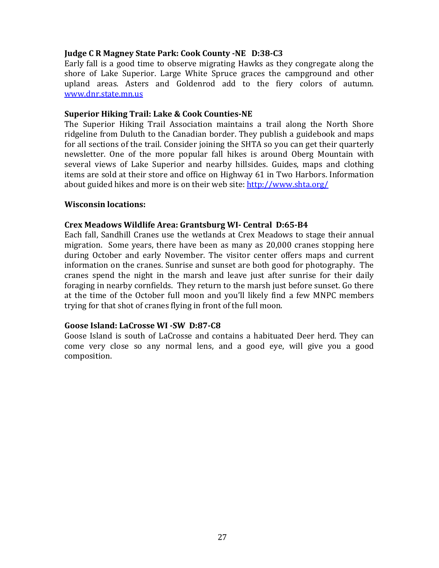### **Judge C R Magney State Park: Cook County -NE D:38-C3**

Early fall is a good time to observe migrating Hawks as they congregate along the shore of Lake Superior. Large White Spruce graces the campground and other upland areas. Asters and Goldenrod add to the fiery colors of autumn. [www.dnr.state.mn.us](http://www.dnr.state.mn.us/)

### **Superior Hiking Trail: Lake & Cook Counties-NE**

The Superior Hiking Trail Association maintains a trail along the North Shore ridgeline from Duluth to the Canadian border. They publish a guidebook and maps for all sections of the trail. Consider joining the SHTA so you can get their quarterly newsletter. One of the more popular fall hikes is around Oberg Mountain with several views of Lake Superior and nearby hillsides. Guides, maps and clothing items are sold at their store and office on Highway 61 in Two Harbors. Information about guided hikes and more is on their web site:<http://www.shta.org/>

### **Wisconsin locations:**

### **Crex Meadows Wildlife Area: Grantsburg WI- Central D:65-B4**

Each fall, Sandhill Cranes use the wetlands at Crex Meadows to stage their annual migration. Some years, there have been as many as 20,000 cranes stopping here during October and early November. The visitor center offers maps and current information on the cranes. Sunrise and sunset are both good for photography. The cranes spend the night in the marsh and leave just after sunrise for their daily foraging in nearby cornfields. They return to the marsh just before sunset. Go there at the time of the October full moon and you'll likely find a few MNPC members trying for that shot of cranes flying in front of the full moon.

### **Goose Island: LaCrosse WI -SW D:87-C8**

Goose Island is south of LaCrosse and contains a habituated Deer herd. They can come very close so any normal lens, and a good eye, will give you a good composition.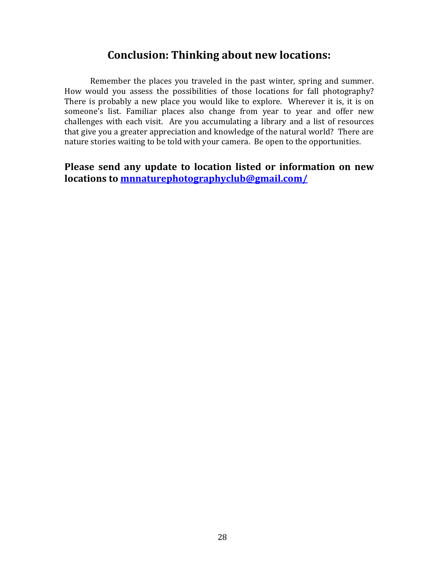# **Conclusion: Thinking about new locations:**

Remember the places you traveled in the past winter, spring and summer. How would you assess the possibilities of those locations for fall photography? There is probably a new place you would like to explore. Wherever it is, it is on someone's list. Familiar places also change from year to year and offer new challenges with each visit. Are you accumulating a library and a list of resources that give you a greater appreciation and knowledge of the natural world? There are nature stories waiting to be told with your camera. Be open to the opportunities.

**Please send any update to location listed or information on new locations to [mnnaturephotographyclub@gmail.com/](mailto:mnnaturephotographyclub@gmail.com/)**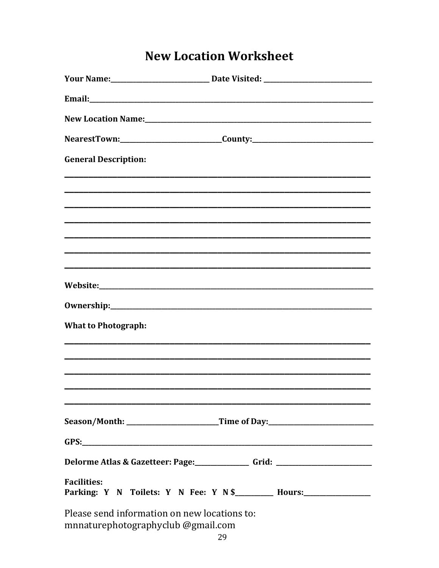# **New Location Worksheet**

|                                                                                    | NearestTown:_______________________________County:______________________________ |
|------------------------------------------------------------------------------------|----------------------------------------------------------------------------------|
| <b>General Description:</b>                                                        |                                                                                  |
|                                                                                    |                                                                                  |
|                                                                                    | ,我们也不能在这里的,我们也不能在这里的,我们也不能不能不能不能不能不能不能不能不能不能不能不能。""我们,我们也不能不能不能不能不能不能不能不能不能不能不能不 |
|                                                                                    |                                                                                  |
|                                                                                    |                                                                                  |
|                                                                                    |                                                                                  |
| <b>What to Photograph:</b>                                                         |                                                                                  |
|                                                                                    |                                                                                  |
|                                                                                    |                                                                                  |
|                                                                                    | Season/Month: ___________________________Time of Day:___________________________ |
|                                                                                    |                                                                                  |
|                                                                                    | Delorme Atlas & Gazetteer: Page:________________ Grid: _________________________ |
| <b>Facilities:</b>                                                                 | Parking: Y N Toilets: Y N Fee: Y N \$_________ Hours:__________________          |
| Please send information on new locations to:<br>mnnaturephotographyclub @gmail.com |                                                                                  |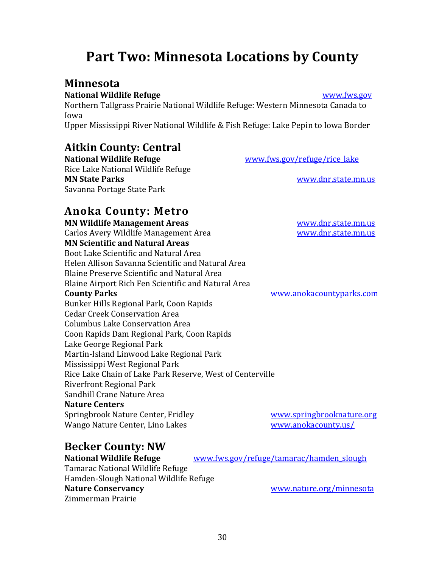# <span id="page-29-0"></span>**Part Two: Minnesota Locations by County**

# **Minnesota**

### **National Wildlife Refuge [www.fws.gov](http://www.fws.gov/)**

[Northern Tallgrass Prairie National Wildlife Refuge:](https://www.fws.gov/refuges/profiles/index.cfm?id=32642) Western Minnesota Canada to Iowa

[Upper Mississippi River National Wildlife & Fish Refuge:](https://www.fws.gov/refuges/profiles/index.cfm?id=32579) Lake Pepin to Iowa Border

# **Aitkin County: Central**

**National Wildlife Refuge** [www.fws.gov/refuge/rice\\_lake](http://www.fws.gov/refuge/rice_lake) [Rice Lake National Wildlife Refuge](https://www.fws.gov/refuges/profiles/index.cfm?id=32540) **MN State Parks** [www.dnr.state.mn.us](http://www.dnr.state.mn.us/) Savanna Portage State Park

# **Anoka County: Metro**

**MN Wildlife Management Areas** [www.dnr.state.mn.us](http://www.dnr.state.mn.us/) Carlos Avery Wildlife Management Area [www.dnr.state.mn.us](http://www.dnr.state.mn.us/) **MN Scientific and Natural Areas** Boot Lake Scientific and Natural Area Helen Allison Savanna Scientific and Natural Area Blaine Preserve Scientific and Natural Area Blaine Airport Rich Fen Scientific and Natural Area **County Parks** [www.anokacountyparks.com](http://www.anokacountyparks.com/) Bunker Hills Regional Park, Coon Rapids Cedar Creek Conservation Area Columbus Lake Conservation Area Coon Rapids Dam Regional Park, Coon Rapids Lake George Regional Park Martin-Island Linwood Lake Regional Park Mississippi West Regional Park Rice Lake Chain of Lake Park Reserve, West of Centerville Riverfront Regional Park

Sandhill Crane Nature Area **Nature Centers** Springbrook Nature Center, Fridley [www.springbrooknature.org](http://www.springbrooknature.org/) Wango Nature Center, Lino Lakes [www.anokacounty.us/](http://www.anokacounty.us/)

# **Becker County: NW**

Tamarac National Wildlife Refuge Hamden-Slough National Wildlife Refuge **Nature Conservancy** and the state of the state of the state of the state of the state of the state of the state of the state of the state of the state of the state of the state of the state of the state of the state of th Zimmerman Prairie

**National Wildlife Refuge** [www.fws.gov/refuge/tamarac/hamden\\_slough](http://www.fws.gov/refuge/tamarac/hamden_slough)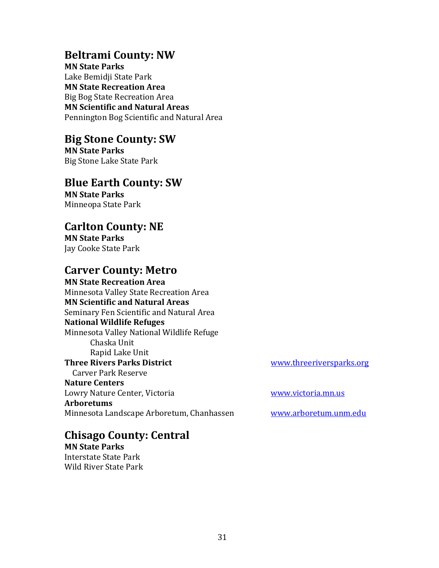# **Beltrami County: NW**

**MN State Parks** Lake Bemidji State Park **MN State Recreation Area** Big Bog State Recreation Area **MN Scientific and Natural Areas** Pennington Bog Scientific and Natural Area

# **Big Stone County: SW**

**MN State Parks** Big Stone Lake State Park

# **Blue Earth County: SW**

**MN State Parks** Minneopa State Park

# **Carlton County: NE**

**MN State Parks** Jay Cooke State Park

# **Carver County: Metro**

**MN State Recreation Area** Minnesota Valley State Recreation Area **MN Scientific and Natural Areas** Seminary Fen Scientific and Natural Area **National Wildlife Refuges** [Minnesota Valley National Wildlife Refuge](https://www.fws.gov/refuges/profiles/index.cfm?id=32590) Chaska Unit Rapid Lake Unit **Three Rivers Parks District WWW.threeriversparks.org** Carver Park Reserve **Nature Centers**  Lowry Nature Center, Victoria [www.victoria.mn.us](http://www.victoria.mn.us/) **Arboretums** Minnesota Landscape Arboretum, Chanhassen [www.arboretum.unm.edu](http://www.arboretum.unm.edu/)

# **Chisago County: Central**

**MN State Parks** Interstate State Park Wild River State Park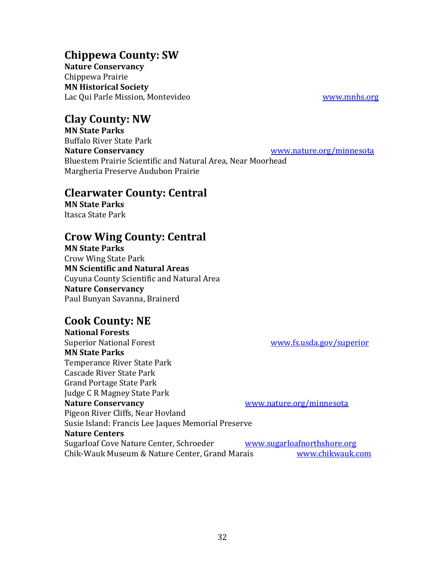# **Chippewa County: SW**

**Nature Conservancy** Chippewa Prairie **MN Historical Society** Lac Qui Parle Mission, Montevideo [www.mnhs.org](http://www.mnhs.org/)

**Clay County: NW**

**MN State Parks** Buffalo River State Park **Nature Conservancy** [www.nature.org/minnesota](http://www.nature.org/minnesota) Bluestem Prairie Scientific and Natural Area, Near Moorhead Margheria Preserve Audubon Prairie

# **Clearwater County: Central**

**MN State Parks** Itasca State Park

# **Crow Wing County: Central**

**MN State Parks** Crow Wing State Park **MN Scientific and Natural Areas** Cuyuna County Scientific and Natural Area **Nature Conservancy** Paul Bunyan Savanna, Brainerd

# **Cook County: NE**

**National Forests** Superior National Forest [www.fs.usda.gov/superior](http://www.fs.usda.gov/superior) **MN State Parks** Temperance River State Park Cascade River State Park Grand Portage State Park Judge C R Magney State Park **Nature Conservancy** [www.nature.org/minnesota](http://www.nature.org/minnesota) Pigeon River Cliffs, Near Hovland Susie Island: Francis Lee Jaques Memorial Preserve **Nature Centers** Sugarloaf Cove Nature Center, Schroeder www.sugarloafnorthshore.org Chik-Wauk Museum & Nature Center, Grand Marais [www.chikwauk.com](file:///Users/ardellalagerquist/Library/Containers/com.apple.mail/Data/Library/Mail%20Downloads/1AF4945D-DA4F-47C8-8254-9AF658BFFE13/../../AppData/Local/Microsoft/Windows/INetCache/Content.Outlook/WMV0BLB4/www.chikwauk.com)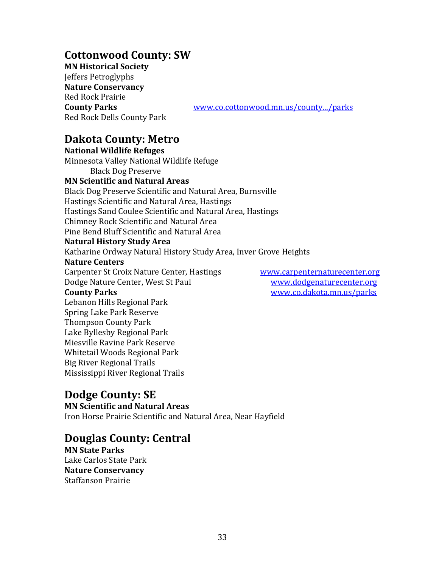# **Cottonwood County: SW**

**MN Historical Society** Jeffers Petroglyphs **Nature Conservancy** Red Rock Prairie Red Rock Dells County Park

**County Parks** [www.co.cottonwood.mn.us/county.../parks](http://www.co.cottonwood.mn.us/county.../parks)

# **Dakota County: Metro**

**National Wildlife Refuges** [Minnesota Valley National Wildlife Refuge](https://www.fws.gov/refuges/profiles/index.cfm?id=32590) Black Dog Preserve **MN Scientific and Natural Areas** Black Dog Preserve Scientific and Natural Area, Burnsville Hastings Scientific and Natural Area, Hastings Hastings Sand Coulee Scientific and Natural Area, Hastings Chimney Rock Scientific and Natural Area Pine Bend Bluff Scientific and Natural Area **Natural History Study Area** Katharine Ordway Natural History Study Area, Inver Grove Heights **Nature Centers** Carpenter St Croix Nature Center, Hastings [www.carpenternaturecenter.org](http://www.carpenternaturecenter.org/) Dodge Nature Center, West St Paul [www.dodgenaturecenter.org](http://www.dodgenaturecenter.org/) **County Parks** [www.co.dakota.mn.us/parks](http://www.co.dakota.mn.us/parks) Lebanon Hills Regional Park Spring Lake Park Reserve Thompson County Park Lake Byllesby Regional Park Miesville Ravine Park Reserve Whitetail Woods Regional Park Big River Regional Trails Mississippi River Regional Trails

# **Dodge County: SE**

**MN Scientific and Natural Areas** Iron Horse Prairie Scientific and Natural Area, Near Hayfield

# **Douglas County: Central**

**MN State Parks** Lake Carlos State Park **Nature Conservancy** Staffanson Prairie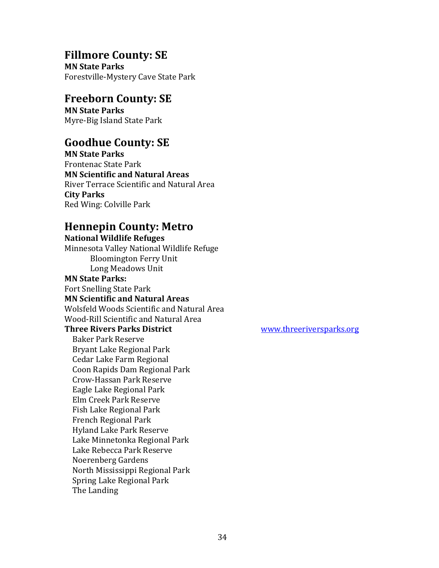## **Fillmore County: SE**

**MN State Parks** Forestville-Mystery Cave State Park

# **Freeborn County: SE**

**MN State Parks** Myre-Big Island State Park

# **Goodhue County: SE**

**MN State Parks** Frontenac State Park **MN Scientific and Natural Areas** River Terrace Scientific and Natural Area **City Parks** Red Wing: Colville Park

# **Hennepin County: Metro**

**National Wildlife Refuges** [Minnesota Valley National Wildlife Refuge](https://www.fws.gov/refuges/profiles/index.cfm?id=32590)  Bloomington Ferry Unit Long Meadows Unit **MN State Parks:** Fort Snelling State Park **MN Scientific and Natural Areas** Wolsfeld Woods Scientific and Natural Area Wood-Rill Scientific and Natural Area **Three Rivers Parks District WWW.threeriversparks.org** Baker Park Reserve Bryant Lake Regional Park Cedar Lake Farm Regional Coon Rapids Dam Regional Park Crow-Hassan Park Reserve Eagle Lake Regional Park Elm Creek Park Reserve Fish Lake Regional Park French Regional Park Hyland Lake Park Reserve Lake Minnetonka Regional Park Lake Rebecca Park Reserve Noerenberg Gardens North Mississippi Regional Park Spring Lake Regional Park The Landing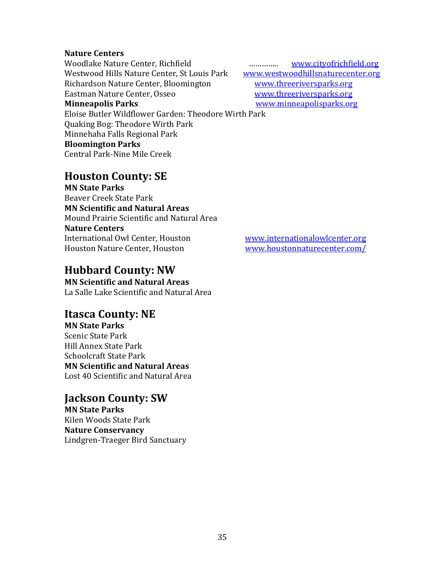### **Nature Centers**

Woodlake Nature Center, Richfield **Entertainment Constant Control** [www.cityofrichfield.org](http://www.cityofrichfield.org/) Westwood Hills Nature Center, St Louis Park [www.westwoodhillsnaturecenter.org](http://www.westwoodhillsnaturecenter.org/) Richardson Nature Center, Bloomington [www.threeriversparks.org](http://www.threeriversparks.org/) Eastman Nature Center, Osseo [www.threeriversparks.org](http://www.threeriversparks.org/) **Minneapolis Parks** [www.minneapolisparks.org](http://www.minneapolisparks.org/)

Eloise Butler Wildflower Garden: Theodore Wirth Park Quaking Bog: Theodore Wirth Park Minnehaha Falls Regional Park **Bloomington Parks** Central Park-Nine Mile Creek

# **Houston County: SE**

**MN State Parks** Beaver Creek State Park **MN Scientific and Natural Areas** Mound Prairie Scientific and Natural Area **Nature Centers** International Owl Center, Houston [www.internationalowlcenter.org](http://www.internationalowlcenter.org/) Houston Nature Center, Houston [www.houstonnaturecenter.com/](http://www.houstonnaturecenter.com/)

# **Hubbard County: NW**

**MN Scientific and Natural Areas** La Salle Lake Scientific and Natural Area

# **Itasca County: NE**

**MN State Parks** Scenic State Park Hill Annex State Park Schoolcraft State Park **MN Scientific and Natural Areas** Lost 40 Scientific and Natural Area

# **Jackson County: SW**

**MN State Parks** Kilen Woods State Park **Nature Conservancy** Lindgren-Traeger Bird Sanctuary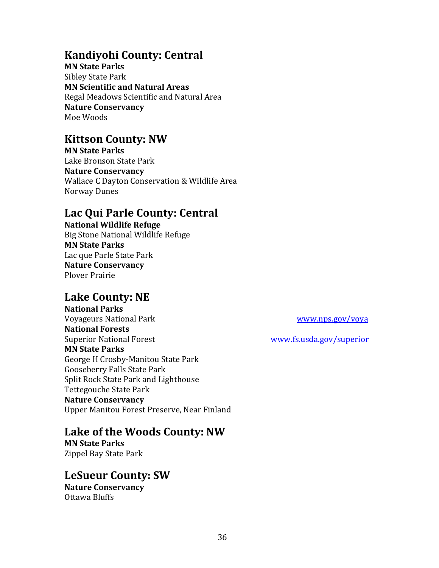# **Kandiyohi County: Central**

**MN State Parks** Sibley State Park **MN Scientific and Natural Areas** Regal Meadows Scientific and Natural Area **Nature Conservancy** Moe Woods

# **Kittson County: NW**

**MN State Parks** Lake Bronson State Park **Nature Conservancy** Wallace C Dayton Conservation & Wildlife Area Norway Dunes

# **Lac Qui Parle County: Central**

**National Wildlife Refuge** [Big Stone National Wildlife Refuge](https://www.fws.gov/refuges/profiles/index.cfm?id=32640) **MN State Parks** Lac que Parle State Park **Nature Conservancy** Plover Prairie

# **Lake County: NE**

**National Parks** Voyageurs National Park [www.nps.gov/voya](http://www.nps.gov/voya) **National Forests** Superior National Forest [www.fs.usda.gov/superior](http://www.fs.usda.gov/superior) **MN State Parks** George H Crosby-Manitou State Park Gooseberry Falls State Park Split Rock State Park and Lighthouse Tettegouche State Park **Nature Conservancy** Upper Manitou Forest Preserve, Near Finland

**Lake of the Woods County: NW**

**MN State Parks** Zippel Bay State Park

**LeSueur County: SW Nature Conservancy** Ottawa Bluffs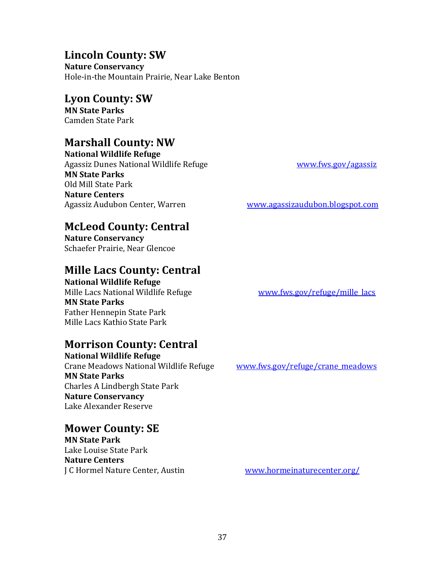# **Lincoln County: SW**

**Nature Conservancy** Hole-in-the Mountain Prairie, Near Lake Benton

# **Lyon County: SW**

**MN State Parks** Camden State Park

# **Marshall County: NW**

**National Wildlife Refuge** [Agassiz Dunes National Wildlife Refuge](https://www.fws.gov/refuges/profiles/index.cfm?id=32510) Washington Mustawa [www.fws.gov/agassiz](http://www.fws.gov/agassiz) **MN State Parks** Old Mill State Park **Nature Centers** Agassiz Audubon Center, Warren [www.agassizaudubon.blogspot.com](http://www.agassizaudubon.blogspot.com/)

# **McLeod County: Central**

**Nature Conservancy** Schaefer Prairie, Near Glencoe

# **Mille Lacs County: Central**

**National Wildlife Refuge** [Mille Lacs National Wildlife Refuge](https://www.fws.gov/refuges/profiles/index.cfm?id=32541) www.fws.gov/refuge/mille lacs **MN State Parks** Father Hennepin State Park Mille Lacs Kathio State Park

# **Morrison County: Central**

**National Wildlife Refuge** [Crane Meadows National Wildlife Refuge](https://www.fws.gov/refuges/profiles/index.cfm?id=32555) [www.fws.gov/refuge/crane\\_meadows](http://www.fws.gov/refuge/crane_meadows) **MN State Parks** Charles A Lindbergh State Park **Nature Conservancy** Lake Alexander Reserve

# **Mower County: SE**

**MN State Park** Lake Louise State Park **Nature Centers** J C Hormel Nature Center, Austin [www.hormeinaturecenter.org/](http://www.hormeinaturecenter.org/)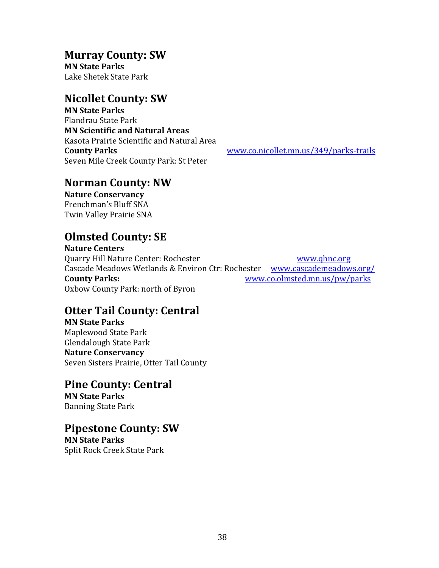# **Murray County: SW**

**MN State Parks** Lake Shetek State Park

# **Nicollet County: SW**

**MN State Parks** Flandrau State Park **MN Scientific and Natural Areas** Kasota Prairie Scientific and Natural Area **County Parks** [www.co.nicollet.mn.us/349/parks-trails](http://www.co.nicollet.mn.us/349/parks-trails) Seven Mile Creek County Park: St Peter

# **Norman County: NW**

**Nature Conservancy** Frenchman's Bluff SNA Twin Valley Prairie SNA

# **Olmsted County: SE**

**Nature Centers** Quarry Hill Nature Center: Rochester [www.qhnc.org](http://www.qhnc.org/) Cascade Meadows Wetlands & Environ Ctr: Rochester [www.cascademeadows.org/](http://www.cascademeadows.org/) **County Parks:** [www.co.olmsted.mn.us/pw/parks](http://www.co.olmsted.mn.us/pw/parks) Oxbow County Park: north of Byron

# **Otter Tail County: Central**

**MN State Parks** Maplewood State Park Glendalough State Park **Nature Conservancy** Seven Sisters Prairie, Otter Tail County

# **Pine County: Central**

**MN State Parks** Banning State Park

# **Pipestone County: SW**

**MN State Parks** Split Rock Creek State Park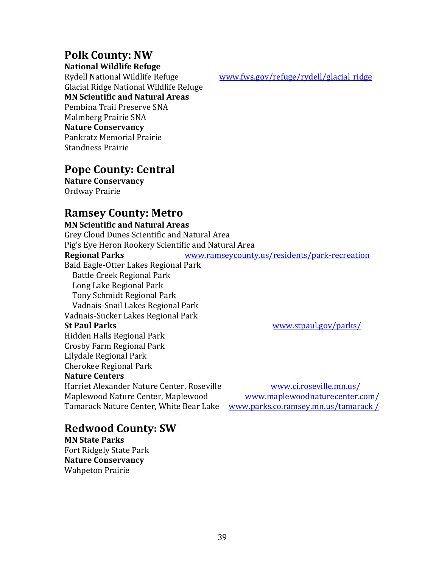# **Polk County: NW**

**National Wildlife Refuge**

Glacial Ridge National Wildlife Refuge **MN Scientific and Natural Areas** Pembina Trail Preserve SNA Malmberg Prairie SNA **Nature Conservancy** Pankratz Memorial Prairie Standness Prairie

[Rydell National Wildlife Refuge](https://www.fws.gov/refuges/profiles/index.cfm?id=32583) [www.fws.gov/refuge/rydell/glacial\\_ridge](http://www.fws.gov/refuge/rydell/glacial_ridge)

# **Pope County: Central**

**Nature Conservancy** Ordway Prairie

# **Ramsey County: Metro**

**MN Scientific and Natural Areas** Grey Cloud Dunes Scientific and Natural Area Pig's Eye Heron Rookery Scientific and Natural Area **Regional Parks** [www.ramseycounty.us/residents/park-recreation](http://www.ramseycounty.us/residents/park-recreation) [Bald Eagle-Otter Lakes Regional Park](https://www.ramseycounty.us/residents/parks-recreation/parks-trails/find-park/bald-eagle-otter-lakes-regional-park) [Battle Creek Regional Park](https://www.ramseycounty.us/residents/parks-recreation/parks-trails/find-park/battle-creek-regional-park) [Long Lake Regional Park](https://www.ramseycounty.us/residents/parks-recreation/parks-trails/find-park/long-lake-regional-park) [Tony Schmidt Regional Park](https://www.ramseycounty.us/residents/parks-recreation/parks-trails/find-park/tony-schmidt-regional-park) [Vadnais-Snail Lakes Regional Park](https://www.ramseycounty.us/residents/parks-recreation/parks-trails/find-park/vadnais-snail-lakes-regional-park) [Vadnais-Sucker Lakes Regional Park](https://www.ramseycounty.us/residents/parks-recreation/parks-trails/find-park/vadnais-sucker-lake-regional-park) **St Paul Parks** [www.stpaul.gov/parks/](http://www.stpaul.gov/parks/) Hidden Halls Regional Park Crosby Farm Regional Park Lilydale Regional Park Cherokee Regional Park **Nature Centers** Harriet Alexander Nature Center, Roseville www.ci.roseville.mn.us/ Maplewood Nature Center, Maplewood [www.maplewoodnaturecenter.com/](http://www.maplewoodnaturecenter.com/) Tamarack Nature Center, White Bear Lake [www.parks.co.ramsey.mn.us/tamarack /](http://www.parks.co.ramsey.mn.us/tamarack%20/)

# **Redwood County: SW**

**MN State Parks** Fort Ridgely State Park **Nature Conservancy** Wahpeton Prairie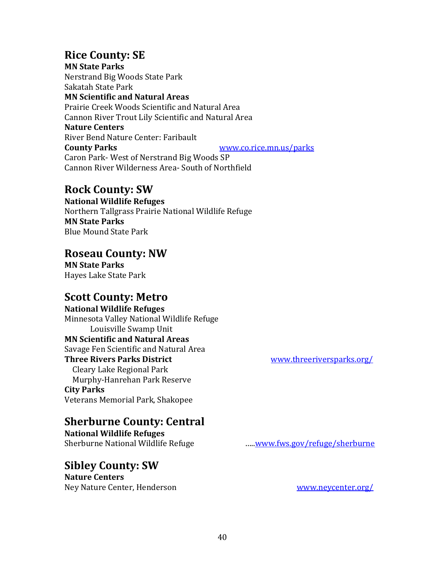# **Rice County: SE**

**MN State Parks** Nerstrand Big Woods State Park Sakatah State Park **MN Scientific and Natural Areas** Prairie Creek Woods Scientific and Natural Area Cannon River Trout Lily Scientific and Natural Area **Nature Centers** River Bend Nature Center: Faribault **County Parks** WWW.co.rice.mn.us/parks Caron Park- West of Nerstrand Big Woods SP Cannon River Wilderness Area- South of Northfield

# **Rock County: SW**

**National Wildlife Refuges** Northern Tallgrass Prairie National Wildlife Refuge **MN State Parks** Blue Mound State Park

# **Roseau County: NW**

**MN State Parks** Hayes Lake State Park

# **Scott County: Metro**

**National Wildlife Refuges** [Minnesota Valley National Wildlife Refuge](https://www.fws.gov/refuges/profiles/index.cfm?id=32590) Louisville Swamp Unit **MN Scientific and Natural Areas** Savage Fen Scientific and Natural Area **Three Rivers Parks District** [www.threeriversparks.org/](http://www.threeriversparks.org/) Cleary Lake Regional Park Murphy-Hanrehan Park Reserve **City Parks** Veterans Memorial Park, Shakopee

# **Sherburne County: Central**

**National Wildlife Refuges** Sherburne National Wildlife Refuge **Example 2018** .....<u>www.fws.gov/refuge/sherburne</u>

# **Sibley County: SW**

**Nature Centers** Ney Nature Center, Henderson [www.neycenter.org/](http://www.neycenter.org/)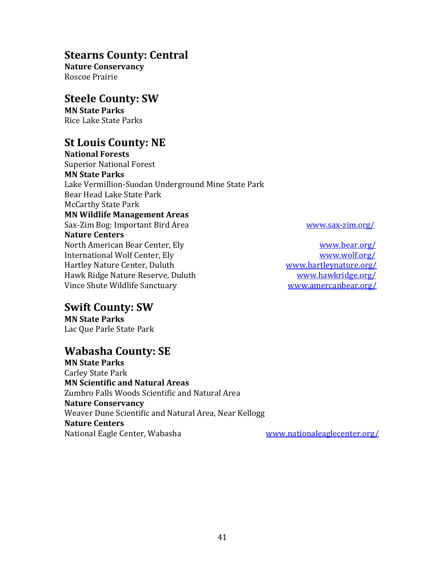# **Stearns County: Central**

**Nature Conservancy** Roscoe Prairie

# **Steele County: SW**

**MN State Parks** Rice Lake State Parks

# **St Louis County: NE**

**National Forests** Superior National Forest **MN State Parks** Lake Vermillion-Suodan Underground Mine State Park Bear Head Lake State Park McCarthy State Park **MN Wildlife Management Areas** Sax-Zim Bog: Important Bird Area [www.sax-zim.org/](http://www.sax-zim.org/) **Nature Centers** North American Bear Center, Ely [www.bear.org/](http://www.bear.org/) International Wolf Center, Ely [www.wolf.org/](http://www.wolf.org/) Hartley Nature Center, Duluth Washington Wave Wave Martleynature.org/ Hawk Ridge Nature Reserve, Duluth Wayness Marketing Muscle [www.hawkridge.org/](http://www.hawkridge.org/) Vince Shute Wildlife Sanctuary [www.amercanbear.org/](http://www.amercanbear.org/)

# **Swift County: SW**

**MN State Parks** Lac Que Parle State Park

# **Wabasha County: SE**

**MN State Parks** Carley State Park **MN Scientific and Natural Areas** Zumbro Falls Woods Scientific and Natural Area **Nature Conservancy** Weaver Dune Scientific and Natural Area, Near Kellogg **Nature Centers** National Eagle Center, Wabasha [www.nationaleaglecenter.org/](http://www.nationaleaglecenter.org/)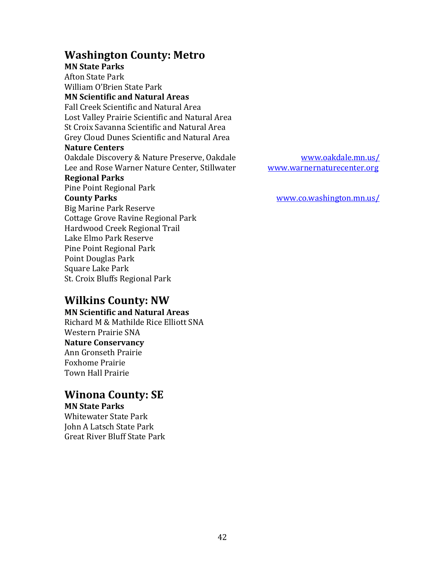# **Washington County: Metro**

**MN State Parks** Afton State Park William O'Brien State Park **MN Scientific and Natural Areas** Fall Creek Scientific and Natural Area Lost Valley Prairie Scientific and Natural Area St Croix Savanna Scientific and Natural Area Grey Cloud Dunes Scientific and Natural Area **Nature Centers** Oakdale Discovery & Nature Preserve, Oakdale [www.oakdale.mn.us/](http://www.oakdale.mn.us/) Lee and Rose Warner Nature Center, Stillwater [www.warnernaturecenter.org](http://www.warnernaturecenter.org/) **Regional Parks** Pine Point Regional Park **County Parks** [www.co.washington.mn.us/](http://www.co.washington.mn.us/) Big Marine Park Reserve [Cottage Grove Ravine Regional Park](https://www.co.washington.mn.us/index.aspx?NID=501) [Hardwood Creek Regional Trail](https://www.co.washington.mn.us/index.aspx?NID=506) [Lake Elmo Park Reserve](https://www.co.washington.mn.us/index.aspx?NID=502) [Pine Point Regional Park](https://www.co.washington.mn.us/index.aspx?NID=503) [Point Douglas Park](https://www.co.washington.mn.us/index.aspx?NID=1366) [Square Lake Park](https://www.co.washington.mn.us/index.aspx?NID=504) [St. Croix Bluffs Regional Park](https://www.co.washington.mn.us/index.aspx?NID=505)

**Wilkins County: NW**

**MN Scientific and Natural Areas** Richard M & Mathilde Rice Elliott SNA Western Prairie SNA **Nature Conservancy** Ann Gronseth Prairie Foxhome Prairie Town Hall Prairie

# **Winona County: SE**

**MN State Parks** Whitewater State Park John A Latsch State Park

Great River Bluff State Park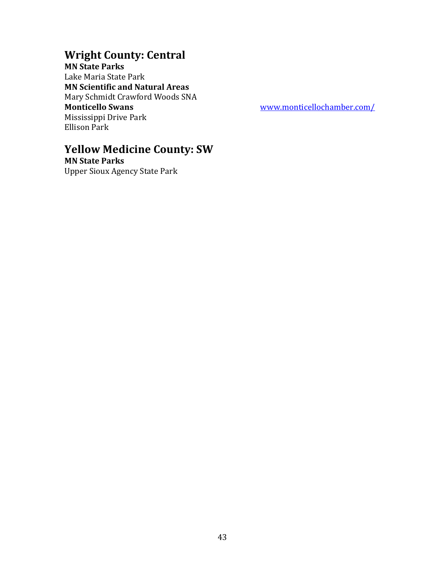# **Wright County: Central**

**MN State Parks** Lake Maria State Park **MN Scientific and Natural Areas** Mary Schmidt Crawford Woods SNA **Monticello Swans** [www.monticellochamber.com/](http://www.monticellochamber.com/) Mississippi Drive Park Ellison Park

# **Yellow Medicine County: SW**

**MN State Parks** Upper Sioux Agency State Park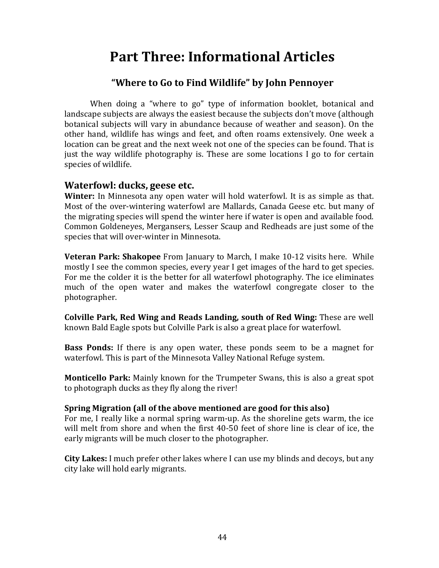# <span id="page-43-0"></span>**Part Three: Informational Articles**

### **"Where to Go to Find Wildlife" by John Pennoyer**

When doing a "where to go" type of information booklet, botanical and landscape subjects are always the easiest because the subjects don't move (although botanical subjects will vary in abundance because of weather and season). On the other hand, wildlife has wings and feet, and often roams extensively. One week a location can be great and the next week not one of the species can be found. That is just the way wildlife photography is. These are some locations I go to for certain species of wildlife.

### **Waterfowl: ducks, geese etc.**

**Winter:** In Minnesota any open water will hold waterfowl. It is as simple as that. Most of the over-wintering waterfowl are Mallards, Canada Geese etc. but many of the migrating species will spend the winter here if water is open and available food. Common Goldeneyes, Mergansers, Lesser Scaup and Redheads are just some of the species that will over-winter in Minnesota.

**Veteran Park: Shakopee** From January to March, I make 10-12 visits here. While mostly I see the common species, every year I get images of the hard to get species. For me the colder it is the better for all waterfowl photography. The ice eliminates much of the open water and makes the waterfowl congregate closer to the photographer.

**Colville Park, Red Wing and Reads Landing, south of Red Wing:** These are well known Bald Eagle spots but Colville Park is also a great place for waterfowl.

**Bass Ponds:** If there is any open water, these ponds seem to be a magnet for waterfowl. This is part of the Minnesota Valley National Refuge system.

**Monticello Park:** Mainly known for the Trumpeter Swans, this is also a great spot to photograph ducks as they fly along the river!

### **Spring Migration (all of the above mentioned are good for this also)**

For me, I really like a normal spring warm-up. As the shoreline gets warm, the ice will melt from shore and when the first 40-50 feet of shore line is clear of ice, the early migrants will be much closer to the photographer.

**City Lakes:** I much prefer other lakes where I can use my blinds and decoys, but any city lake will hold early migrants.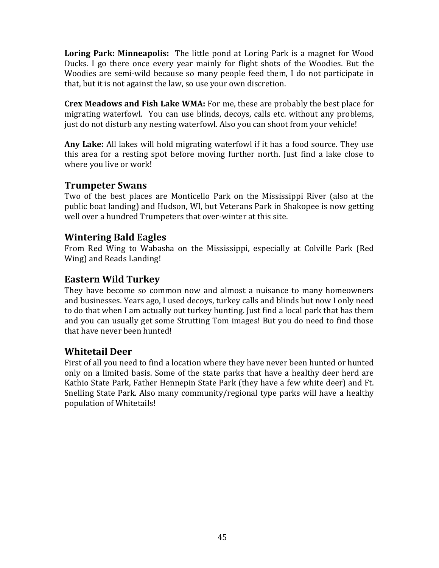**Loring Park: Minneapolis:** The little pond at Loring Park is a magnet for Wood Ducks. I go there once every year mainly for flight shots of the Woodies. But the Woodies are semi-wild because so many people feed them, I do not participate in that, but it is not against the law, so use your own discretion.

**Crex Meadows and Fish Lake WMA:** For me, these are probably the best place for migrating waterfowl. You can use blinds, decoys, calls etc. without any problems, just do not disturb any nesting waterfowl. Also you can shoot from your vehicle!

**Any Lake:** All lakes will hold migrating waterfowl if it has a food source. They use this area for a resting spot before moving further north. Just find a lake close to where you live or work!

### **Trumpeter Swans**

Two of the best places are Monticello Park on the Mississippi River (also at the public boat landing) and Hudson, WI, but Veterans Park in Shakopee is now getting well over a hundred Trumpeters that over-winter at this site.

### **Wintering Bald Eagles**

From Red Wing to Wabasha on the Mississippi, especially at Colville Park (Red Wing) and Reads Landing!

# **Eastern Wild Turkey**

They have become so common now and almost a nuisance to many homeowners and businesses. Years ago, I used decoys, turkey calls and blinds but now I only need to do that when I am actually out turkey hunting. Just find a local park that has them and you can usually get some Strutting Tom images! But you do need to find those that have never been hunted!

# **Whitetail Deer**

First of all you need to find a location where they have never been hunted or hunted only on a limited basis. Some of the state parks that have a healthy deer herd are Kathio State Park, Father Hennepin State Park (they have a few white deer) and Ft. Snelling State Park. Also many community/regional type parks will have a healthy population of Whitetails!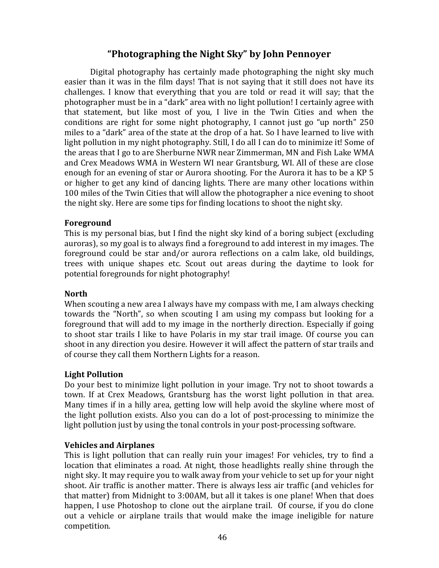### **"Photographing the Night Sky" by John Pennoyer**

Digital photography has certainly made photographing the night sky much easier than it was in the film days! That is not saying that it still does not have its challenges. I know that everything that you are told or read it will say; that the photographer must be in a "dark" area with no light pollution! I certainly agree with that statement, but like most of you, I live in the Twin Cities and when the conditions are right for some night photography, I cannot just go "up north" 250 miles to a "dark" area of the state at the drop of a hat. So I have learned to live with light pollution in my night photography. Still, I do all I can do to minimize it! Some of the areas that I go to are Sherburne NWR near Zimmerman, MN and Fish Lake WMA and Crex Meadows WMA in Western WI near Grantsburg, WI. All of these are close enough for an evening of star or Aurora shooting. For the Aurora it has to be a KP 5 or higher to get any kind of dancing lights. There are many other locations within 100 miles of the Twin Cities that will allow the photographer a nice evening to shoot the night sky. Here are some tips for finding locations to shoot the night sky.

### **Foreground**

This is my personal bias, but I find the night sky kind of a boring subject (excluding auroras), so my goal is to always find a foreground to add interest in my images. The foreground could be star and/or aurora reflections on a calm lake, old buildings, trees with unique shapes etc. Scout out areas during the daytime to look for potential foregrounds for night photography!

### **North**

When scouting a new area I always have my compass with me, I am always checking towards the "North", so when scouting I am using my compass but looking for a foreground that will add to my image in the northerly direction. Especially if going to shoot star trails I like to have Polaris in my star trail image. Of course you can shoot in any direction you desire. However it will affect the pattern of star trails and of course they call them Northern Lights for a reason.

### **Light Pollution**

Do your best to minimize light pollution in your image. Try not to shoot towards a town. If at Crex Meadows, Grantsburg has the worst light pollution in that area. Many times if in a hilly area, getting low will help avoid the skyline where most of the light pollution exists. Also you can do a lot of post-processing to minimize the light pollution just by using the tonal controls in your post-processing software.

### **Vehicles and Airplanes**

This is light pollution that can really ruin your images! For vehicles, try to find a location that eliminates a road. At night, those headlights really shine through the night sky. It may require you to walk away from your vehicle to set up for your night shoot. Air traffic is another matter. There is always less air traffic (and vehicles for that matter) from Midnight to 3:00AM, but all it takes is one plane! When that does happen, I use Photoshop to clone out the airplane trail. Of course, if you do clone out a vehicle or airplane trails that would make the image ineligible for nature competition.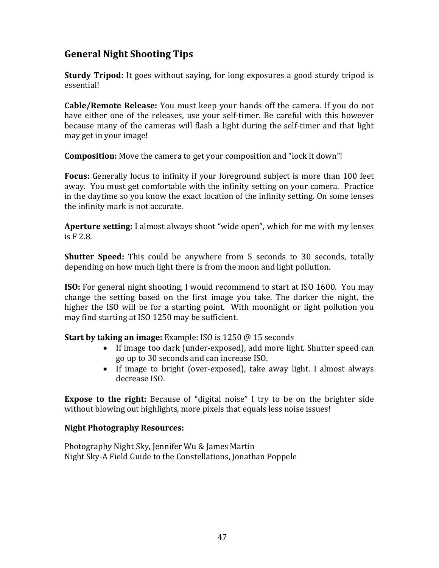# **General Night Shooting Tips**

**Sturdy Tripod:** It goes without saying, for long exposures a good sturdy tripod is essential!

**Cable/Remote Release:** You must keep your hands off the camera. If you do not have either one of the releases, use your self-timer. Be careful with this however because many of the cameras will flash a light during the self-timer and that light may get in your image!

**Composition:** Move the camera to get your composition and "lock it down"!

**Focus:** Generally focus to infinity if your foreground subject is more than 100 feet away. You must get comfortable with the infinity setting on your camera. Practice in the daytime so you know the exact location of the infinity setting. On some lenses the infinity mark is not accurate.

**Aperture setting:** I almost always shoot "wide open", which for me with my lenses is F 2.8.

**Shutter Speed:** This could be anywhere from 5 seconds to 30 seconds, totally depending on how much light there is from the moon and light pollution.

**ISO:** For general night shooting, I would recommend to start at ISO 1600. You may change the setting based on the first image you take. The darker the night, the higher the ISO will be for a starting point. With moonlight or light pollution you may find starting at ISO 1250 may be sufficient.

**Start by taking an image:** Example: ISO is 1250 @ 15 seconds

- If image too dark (under-exposed), add more light. Shutter speed can go up to 30 seconds and can increase ISO.
- If image to bright (over-exposed), take away light. I almost always decrease ISO.

**Expose to the right:** Because of "digital noise" I try to be on the brighter side without blowing out highlights, more pixels that equals less noise issues!

### **Night Photography Resources:**

Photography Night Sky, Jennifer Wu & James Martin Night Sky-A Field Guide to the Constellations, Jonathan Poppele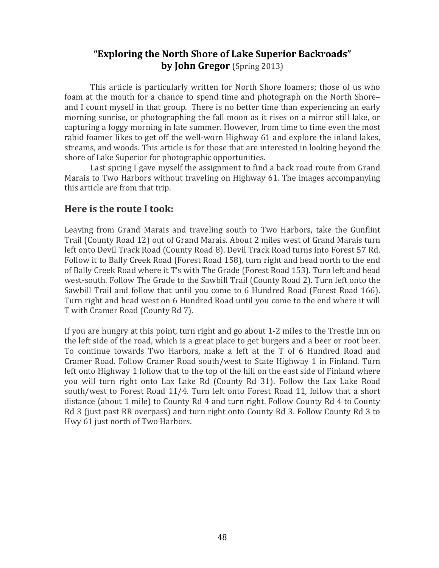# **"Exploring the North Shore of Lake Superior Backroads" by John Gregor** (Spring 2013)

This article is particularly written for North Shore foamers; those of us who foam at the mouth for a chance to spend time and photograph on the North Shore– and I count myself in that group. There is no better time than experiencing an early morning sunrise, or photographing the fall moon as it rises on a mirror still lake, or capturing a foggy morning in late summer. However, from time to time even the most rabid foamer likes to get off the well-worn Highway 61 and explore the inland lakes, streams, and woods. This article is for those that are interested in looking beyond the shore of Lake Superior for photographic opportunities.

Last spring I gave myself the assignment to find a back road route from Grand Marais to Two Harbors without traveling on Highway 61. The images accompanying this article are from that trip.

### **Here is the route I took:**

Leaving from Grand Marais and traveling south to Two Harbors, take the Gunflint Trail (County Road 12) out of Grand Marais. About 2 miles west of Grand Marais turn left onto Devil Track Road (County Road 8). Devil Track Road turns into Forest 57 Rd. Follow it to Bally Creek Road (Forest Road 158), turn right and head north to the end of Bally Creek Road where it T's with The Grade (Forest Road 153). Turn left and head west-south. Follow The Grade to the Sawbill Trail (County Road 2). Turn left onto the Sawbill Trail and follow that until you come to 6 Hundred Road (Forest Road 166). Turn right and head west on 6 Hundred Road until you come to the end where it will T with Cramer Road (County Rd 7).

If you are hungry at this point, turn right and go about 1-2 miles to the Trestle Inn on the left side of the road, which is a great place to get burgers and a beer or root beer. To continue towards Two Harbors, make a left at the T of 6 Hundred Road and Cramer Road. Follow Cramer Road south/west to State Highway 1 in Finland. Turn left onto Highway 1 follow that to the top of the hill on the east side of Finland where you will turn right onto Lax Lake Rd (County Rd 31). Follow the Lax Lake Road south/west to Forest Road 11/4. Turn left onto Forest Road 11, follow that a short distance (about 1 mile) to County Rd 4 and turn right. Follow County Rd 4 to County Rd 3 (just past RR overpass) and turn right onto County Rd 3. Follow County Rd 3 to Hwy 61 just north of Two Harbors.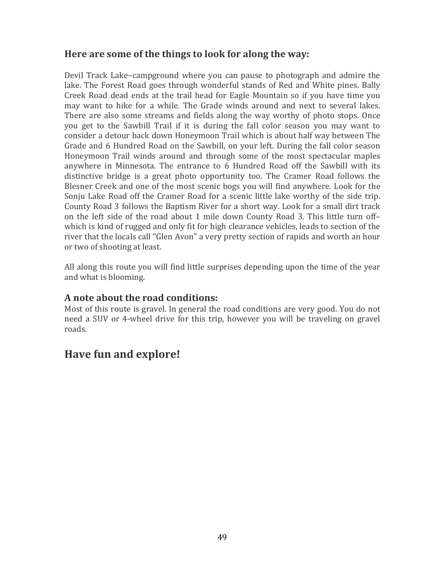# **Here are some of the things to look for along the way:**

Devil Track Lake–campground where you can pause to photograph and admire the lake. The Forest Road goes through wonderful stands of Red and White pines. Bally Creek Road dead ends at the trail head for Eagle Mountain so if you have time you may want to hike for a while. The Grade winds around and next to several lakes. There are also some streams and fields along the way worthy of photo stops. Once you get to the Sawbill Trail if it is during the fall color season you may want to consider a detour back down Honeymoon Trail which is about half way between The Grade and 6 Hundred Road on the Sawbill, on your left. During the fall color season Honeymoon Trail winds around and through some of the most spectacular maples anywhere in Minnesota. The entrance to 6 Hundred Road off the Sawbill with its distinctive bridge is a great photo opportunity too. The Cramer Road follows the Blesner Creek and one of the most scenic bogs you will find anywhere. Look for the Sonju Lake Road off the Cramer Road for a scenic little lake worthy of the side trip. County Road 3 follows the Baptism River for a short way. Look for a small dirt track on the left side of the road about 1 mile down County Road 3. This little turn off– which is kind of rugged and only fit for high clearance vehicles, leads to section of the river that the locals call "Glen Avon" a very pretty section of rapids and worth an hour or two of shooting at least.

All along this route you will find little surprises depending upon the time of the year and what is blooming.

### **A note about the road conditions:**

Most of this route is gravel. In general the road conditions are very good. You do not need a SUV or 4-wheel drive for this trip, however you will be traveling on gravel roads.

# **Have fun and explore!**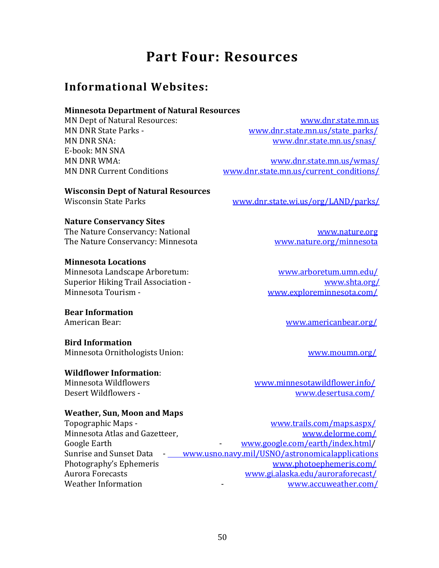# **Part Four: Resources**

# <span id="page-49-1"></span><span id="page-49-0"></span>**Informational Websites:**

### **Minnesota Department of Natural Resources**

E-book: MN SNA

MN Dept of Natural Resources: [www.dnr.state.mn.us](http://www.dnr.state.mn.us/) MN DNR State Parks - [www.dnr.state.mn.us/state\\_parks/](http://www.dnr.state.mn.us/state_parks/) MN DNR SNA: [www.dnr.state.mn.us/snas/](http://www.dnr.state.mn.us/snas/)

MN DNR WMA: [www.dnr.state.mn.us/wmas/](http://www.dnr.state.mn.us/wmas/) MN DNR Current Conditions [www.dnr.state.mn.us/current\\_conditions/](http://www.dnr.state.mn.us/current_conditions/)

**Wisconsin Dept of Natural Resources** Wisconsin State Parks [www.dnr.state.wi.us/org/LAND/parks/](http://www.dnr.state.wi.us/org/LAND/parks/)

**Nature Conservancy Sites**

The Nature Conservancy: National [www.nature.org](http://www.nature.org/) The Nature Conservancy: Minnesota [www.nature.org/minnesota](http://www.nature.org/minnesota)

### **Minnesota Locations**

Minnesota Landscape Arboretum: [www.arboretum.umn.edu/](http://www.arboretum.umn.edu/) Superior Hiking Trail Association - [www.shta.org/](http://www.shta.org/) Minnesota Tourism - [www.exploreminnesota.com/](http://www.exploreminnesota.com/)

**Bear Information**

### **Bird Information**

Minnesota Ornithologists Union: [www.moumn.org/](http://www.moumn.org/)

### **Wildflower Information**:

### **Weather, Sun, Moon and Maps**

Topographic Maps - [www.trails.com/maps.aspx/](http://www.trails.com/maps.aspx/) Minnesota Atlas and Gazetteer, [www.delorme.com/](http://www.delorme.com/) Google Earth  $www.google.com/earth/index.html/$ Sunrise and Sunset Data  $\frac{www.usno.navy.mil/USNO/astronomical applications}{1}$ Photography's Ephemeris [www.photoephemeris.com/](http://www.photoephemeris.com/)

Aurora Forecasts [www.gi.alaska.edu/auroraforecast/](http://www.gi.alaska.edu/auroraforecast/) Weather Information The Compact Compact of the Compact Weather.com/

American Bear: [www.americanbear.org/](http://www.americanbear.org/)

Minnesota Wildflowers [www.minnesotawildflower.info/](http://www.minnesotawildflower.info/) Desert Wildflowers - [www.desertusa.com/](http://www.desertusa.com/)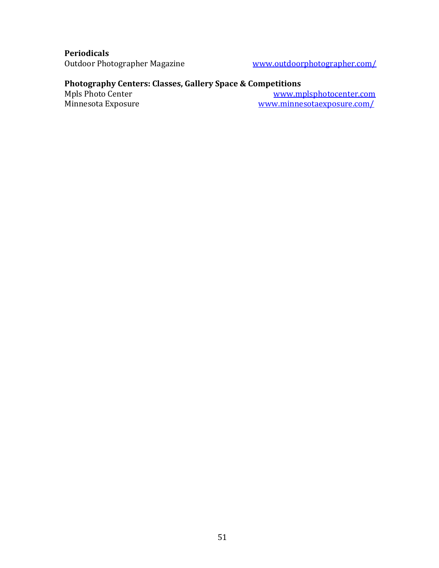**Periodicals**

[www.outdoorphotographer.com/](http://www.outdoorphotographer.com/)

### **Photography Centers: Classes, Gallery Space & Competitions**

Mpls Photo Center [www.mplsphotocenter.com](http://www.mplsphotocenter.com/)<br>Minnesota Exposure www.minnesotaexposure.com/ www.minnesotaexposure.com/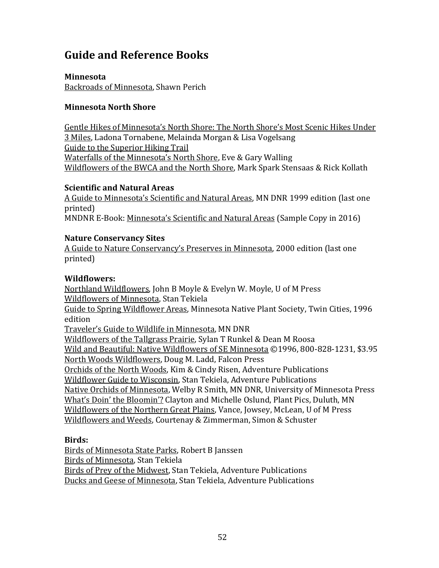# **Guide and Reference Books**

**Minnesota** Backroads of Minnesota, Shawn Perich

### **Minnesota North Shore**

Gentle Hikes of Minnesota's North Shore: The North Shore's Most Scenic Hikes Under 3 Miles, Ladona Tornabene, Melainda Morgan & Lisa Vogelsang Guide to the Superior Hiking Trail Waterfalls of the Minnesota's North Shore, Eve & Gary Walling Wildflowers of the BWCA and the North Shore, Mark Spark Stensaas & Rick Kollath

### **Scientific and Natural Areas**

A Guide to Minnesota's Scientific and Natural Areas, MN DNR 1999 edition (last one printed)

MNDNR E-Book: Minnesota's Scientific and Natural Areas (Sample Copy in 2016)

### **Nature Conservancy Sites**

A Guide to Nature Conservancy's Preserves in Minnesota, 2000 edition (last one printed)

### **Wildflowers:**

Northland Wildflowers, John B Moyle & Evelyn W. Moyle, U of M Press Wildflowers of Minnesota, Stan Tekiela Guide to Spring Wildflower Areas, Minnesota Native Plant Society, Twin Cities, 1996 edition Traveler's Guide to Wildlife in Minnesota, MN DNR Wildflowers of the Tallgrass Prairie, Sylan T Runkel & Dean M Roosa Wild and Beautiful: Native Wildflowers of SE Minnesota ©1996, 800-828-1231, \$3.95 North Woods Wildflowers, Doug M. Ladd, Falcon Press Orchids of the North Woods, Kim & Cindy Risen, Adventure Publications Wildflower Guide to Wisconsin, Stan Tekiela, Adventure Publications Native Orchids of Minnesota, Welby R Smith, MN DNR, University of Minnesota Press What's Doin' the Bloomin'? Clayton and Michelle Oslund, Plant Pics, Duluth, MN Wildflowers of the Northern Great Plains, Vance, Jowsey, McLean, U of M Press Wildflowers and Weeds, Courtenay & Zimmerman, Simon & Schuster

### **Birds:**

Birds of Minnesota State Parks, Robert B Janssen Birds of Minnesota, Stan Tekiela Birds of Prey of the Midwest, Stan Tekiela, Adventure Publications Ducks and Geese of Minnesota, Stan Tekiela, Adventure Publications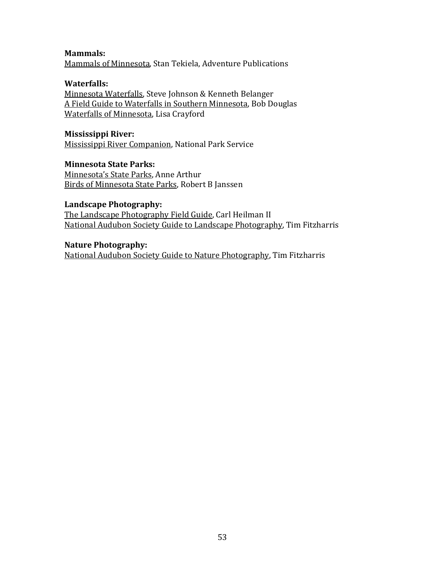**Mammals:** Mammals of Minnesota, Stan Tekiela, Adventure Publications

### **Waterfalls:**

Minnesota Waterfalls, Steve Johnson & Kenneth Belanger A Field Guide to Waterfalls in Southern Minnesota, Bob Douglas Waterfalls of Minnesota, Lisa Crayford

### **Mississippi River:**

Mississippi River Companion, National Park Service

### **Minnesota State Parks:**

Minnesota's State Parks, Anne Arthur Birds of Minnesota State Parks, Robert B Janssen

### **Landscape Photography:**

The Landscape Photography Field Guide, Carl Heilman II National Audubon Society Guide to Landscape Photography, Tim Fitzharris

### **Nature Photography:** National Audubon Society Guide to Nature Photography, Tim Fitzharris